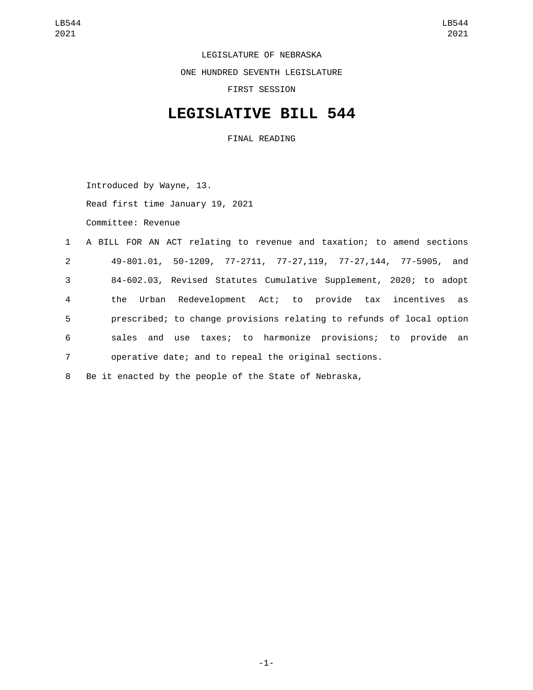LEGISLATURE OF NEBRASKA ONE HUNDRED SEVENTH LEGISLATURE FIRST SESSION

## **LEGISLATIVE BILL 544**

FINAL READING

Introduced by Wayne, 13. Read first time January 19, 2021 Committee: Revenue

 A BILL FOR AN ACT relating to revenue and taxation; to amend sections 49-801.01, 50-1209, 77-2711, 77-27,119, 77-27,144, 77-5905, and 84-602.03, Revised Statutes Cumulative Supplement, 2020; to adopt the Urban Redevelopment Act; to provide tax incentives as prescribed; to change provisions relating to refunds of local option sales and use taxes; to harmonize provisions; to provide an operative date; and to repeal the original sections.

8 Be it enacted by the people of the State of Nebraska,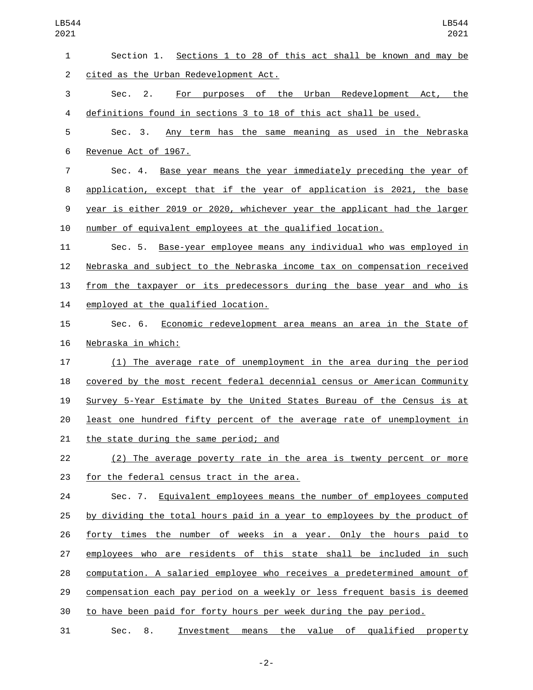| LB544<br>2021  | LB544<br>2021                                                             |
|----------------|---------------------------------------------------------------------------|
| 1              | Sections 1 to 28 of this act shall be known and may be<br>Section 1.      |
| $\overline{2}$ | cited as the Urban Redevelopment Act.                                     |
| 3              | Sec.<br>purposes of the Urban Redevelopment Act,<br>the<br>2.<br>For      |
| 4              | definitions found in sections 3 to 18 of this act shall be used.          |
| 5              | Sec. 3.<br>Any term has the same meaning as used in the Nebraska          |
| 6              | Revenue Act of 1967.                                                      |
| $\overline{7}$ | Base year means the year immediately preceding the year of<br>Sec. $4.$   |
| 8              | application, except that if the year of application is 2021, the base     |
| 9              | year is either 2019 or 2020, whichever year the applicant had the larger  |
| 10             | number of equivalent employees at the qualified location.                 |
| 11             | Base-year employee means any individual who was employed in<br>Sec. 5.    |
| 12             | Nebraska and subject to the Nebraska income tax on compensation received  |
| 13             | from the taxpayer or its predecessors during the base year and who is     |
| 14             | employed at the qualified location.                                       |
| 15             | Sec. 6.<br>Economic redevelopment area means an area in the State of      |
| 16             | Nebraska in which:                                                        |
| 17             | (1) The average rate of unemployment in the area during the period        |
| 18             | covered by the most recent federal decennial census or American Community |
| 19             | Survey 5-Year Estimate by the United States Bureau of the Census is at    |
| 20             | least one hundred fifty percent of the average rate of unemployment in    |
| 21             | the state during the same period; and                                     |
| 22             | (2) The average poverty rate in the area is twenty percent or more        |
| 23             | for the federal census tract in the area.                                 |
| 24             | Sec. 7. Equivalent employees means the number of employees computed       |
| 25             | by dividing the total hours paid in a year to employees by the product of |
| 26             | forty times the number of weeks in a year. Only the hours paid to         |
| 27             | employees who are residents of this state shall be included in such       |
| 28             | computation. A salaried employee who receives a predetermined amount of   |
| 29             | compensation each pay period on a weekly or less frequent basis is deemed |
| 30             | to have been paid for forty hours per week during the pay period.         |
| 31             | Sec.<br>Investment means the value of qualified property<br>8.            |

-2-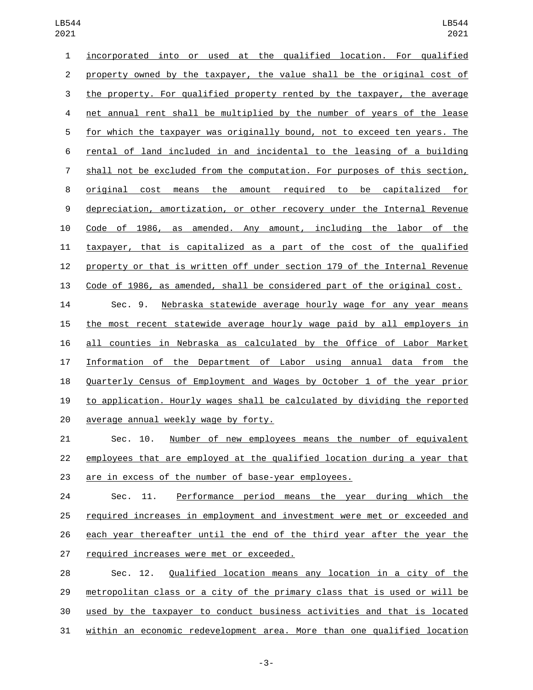incorporated into or used at the qualified location. For qualified property owned by the taxpayer, the value shall be the original cost of the property. For qualified property rented by the taxpayer, the average net annual rent shall be multiplied by the number of years of the lease for which the taxpayer was originally bound, not to exceed ten years. The rental of land included in and incidental to the leasing of a building shall not be excluded from the computation. For purposes of this section, original cost means the amount required to be capitalized for depreciation, amortization, or other recovery under the Internal Revenue Code of 1986, as amended. Any amount, including the labor of the taxpayer, that is capitalized as a part of the cost of the qualified property or that is written off under section 179 of the Internal Revenue Code of 1986, as amended, shall be considered part of the original cost.

 Sec. 9. Nebraska statewide average hourly wage for any year means the most recent statewide average hourly wage paid by all employers in all counties in Nebraska as calculated by the Office of Labor Market Information of the Department of Labor using annual data from the Quarterly Census of Employment and Wages by October 1 of the year prior to application. Hourly wages shall be calculated by dividing the reported 20 average annual weekly wage by forty.

 Sec. 10. Number of new employees means the number of equivalent employees that are employed at the qualified location during a year that are in excess of the number of base-year employees.

 Sec. 11. Performance period means the year during which the required increases in employment and investment were met or exceeded and each year thereafter until the end of the third year after the year the 27 required increases were met or exceeded.

 Sec. 12. Qualified location means any location in a city of the metropolitan class or a city of the primary class that is used or will be used by the taxpayer to conduct business activities and that is located within an economic redevelopment area. More than one qualified location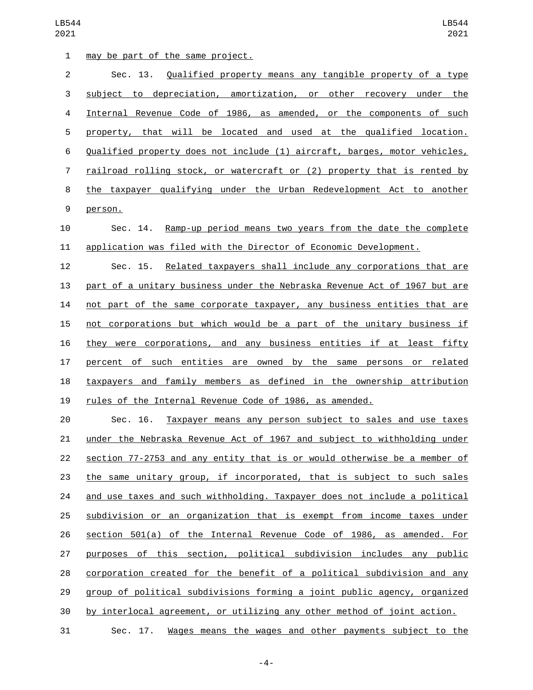| 1              | may be part of the same project.                                             |
|----------------|------------------------------------------------------------------------------|
| $\overline{2}$ | Sec. 13. Qualified property means any tangible property of a type            |
| 3              | subject to depreciation, amortization, or other recovery under the           |
| 4              | Internal Revenue Code of 1986, as amended, or the components of such         |
| 5              | property, that will be located and used at the qualified location.           |
| 6              | Qualified property does not include (1) aircraft, barges, motor vehicles,    |
| 7              | railroad rolling stock, or watercraft or (2) property that is rented by      |
| 8              | the taxpayer qualifying under the Urban Redevelopment Act to another         |
| 9              | person.                                                                      |
| 10             | <u>Ramp-up period means two years from the date the complete</u><br>Sec. 14. |
| 11             | application was filed with the Director of Economic Development.             |
| 12             | Sec. 15. Related taxpayers shall include any corporations that are           |
| 13             | part of a unitary business under the Nebraska Revenue Act of 1967 but are    |
| 14             | not part of the same corporate taxpayer, any business entities that are      |
| 15             | not corporations but which would be a part of the unitary business if        |
| 16             | they were corporations, and any business entities if at least fifty          |
| 17             | percent of such entities are owned by the same persons or related            |
| 18             | taxpayers and family members as defined in the ownership attribution         |
| 19             | rules of the Internal Revenue Code of 1986, as amended.                      |
| 20             | Sec. 16. Taxpayer means any person subject to sales and use taxes            |
| 21             | under the Nebraska Revenue Act of 1967 and subject to withholding under      |
| 22             | section 77-2753 and any entity that is or would otherwise be a member of     |
| 23             | the same unitary group, if incorporated, that is subject to such sales       |
| 24             | and use taxes and such withholding. Taxpayer does not include a political    |
| 25             | subdivision or an organization that is exempt from income taxes under        |
| 26             | section 501(a) of the Internal Revenue Code of 1986, as amended. For         |
| 27             | purposes of this section, political subdivision includes any public          |

group of political subdivisions forming a joint public agency, organized

corporation created for the benefit of a political subdivision and any

by interlocal agreement, or utilizing any other method of joint action.

Sec. 17. Wages means the wages and other payments subject to the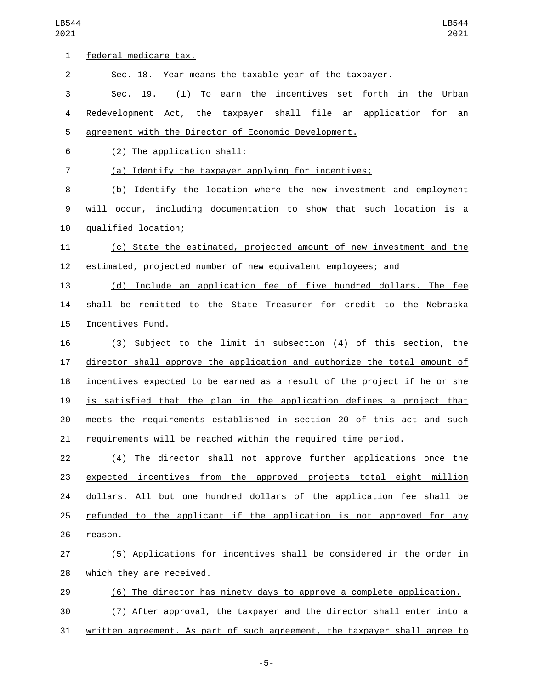| 1              | federal medicare tax.                                                     |
|----------------|---------------------------------------------------------------------------|
|                |                                                                           |
| $\overline{2}$ | Sec. 18. Year means the taxable year of the taxpayer.                     |
| 3              | (1) To earn the incentives set forth in the Urban<br>Sec. 19.             |
| 4              | Redevelopment Act, the taxpayer shall file an application for an          |
| 5              | agreement with the Director of Economic Development.                      |
| 6              | (2) The application shall:                                                |
| $\overline{7}$ | (a) Identify the taxpayer applying for incentives;                        |
| 8              | (b) Identify the location where the new investment and employment         |
| 9              | will occur, including documentation to show that such location is a       |
| 10             | qualified location;                                                       |
| 11             | (c) State the estimated, projected amount of new investment and the       |
| 12             | estimated, projected number of new equivalent employees; and              |
| 13             | (d) Include an application fee of five hundred dollars. The fee           |
| 14             | shall be remitted to the State Treasurer for credit to the Nebraska       |
| 15             | Incentives Fund.                                                          |
| 16             | (3) Subject to the limit in subsection (4) of this section, the           |
| 17             | director shall approve the application and authorize the total amount of  |
| 18             | incentives expected to be earned as a result of the project if he or she  |
| 19             | is satisfied that the plan in the application defines a project that      |
| 20             | meets the requirements established in section 20 of this act and such     |
| 21             | requirements will be reached within the required time period.             |
| 22             | (4) The director shall not approve further applications once the          |
| 23             | expected incentives from the approved projects total eight million        |
| 24             | dollars. All but one hundred dollars of the application fee shall be      |
| 25             | refunded to the applicant if the application is not approved for any      |
| 26             | reason.                                                                   |
| 27             | (5) Applications for incentives shall be considered in the order in       |
| 28             | which they are received.                                                  |
| 29             | (6) The director has ninety days to approve a complete application.       |
| 30             | (7) After approval, the taxpayer and the director shall enter into a      |
| 31             | written agreement. As part of such agreement, the taxpayer shall agree to |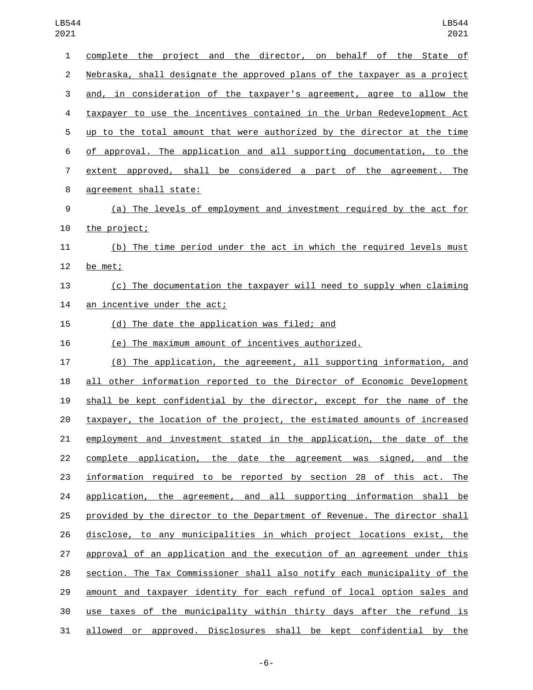| $\mathbf{1}$   | complete the project and the director, on behalf of the State of          |
|----------------|---------------------------------------------------------------------------|
| $\overline{2}$ | Nebraska, shall designate the approved plans of the taxpayer as a project |
| 3              | and, in consideration of the taxpayer's agreement, agree to allow the     |
| 4              | taxpayer to use the incentives contained in the Urban Redevelopment Act   |
| 5              | up to the total amount that were authorized by the director at the time   |
| 6              | of approval. The application and all supporting documentation, to the     |
| $\overline{7}$ | extent approved, shall be considered a part of the agreement. The         |
| 8              | agreement shall state:                                                    |
| 9              | (a) The levels of employment and investment required by the act for       |
| 10             | the project;                                                              |
| 11             | (b) The time period under the act in which the required levels must       |
| 12             | be met;                                                                   |
| 13             | (c) The documentation the taxpayer will need to supply when claiming      |
| 14             | an incentive under the act;                                               |
| 15             | (d) The date the application was filed; and                               |
| 16             | (e) The maximum amount of incentives authorized.                          |
| 17             | (8) The application, the agreement, all supporting information, and       |
| 18             | all other information reported to the Director of Economic Development    |
| 19             | shall be kept confidential by the director, except for the name of the    |
| 20             | taxpayer, the location of the project, the estimated amounts of increased |
| 21             | employment and investment stated in the application, the date of the      |
| 22             | complete application, the date the agreement was signed, and the          |
| 23             | information required to be reported by section 28 of this act. The        |
| 24             | application, the agreement, and all supporting information shall be       |
| 25             | provided by the director to the Department of Revenue. The director shall |
| 26             | disclose, to any municipalities in which project locations exist, the     |
| 27             | approval of an application and the execution of an agreement under this   |
| 28             | section. The Tax Commissioner shall also notify each municipality of the  |
| 29             | amount and taxpayer identity for each refund of local option sales and    |
| 30             | use taxes of the municipality within thirty days after the refund is      |
| 31             | allowed or approved. Disclosures shall be kept confidential by the        |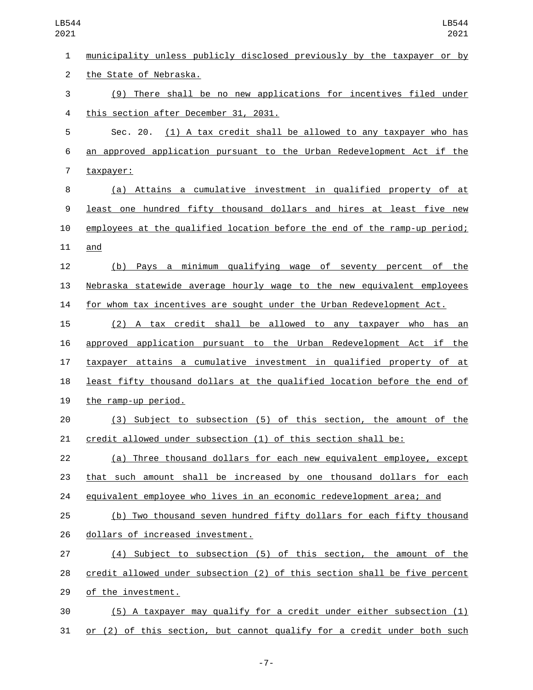municipality unless publicly disclosed previously by the taxpayer or by 2 the State of Nebraska. (9) There shall be no new applications for incentives filed under 4 this section after December 31, 2031. Sec. 20. (1) A tax credit shall be allowed to any taxpayer who has an approved application pursuant to the Urban Redevelopment Act if the 7 taxpayer: (a) Attains a cumulative investment in qualified property of at least one hundred fifty thousand dollars and hires at least five new employees at the qualified location before the end of the ramp-up period; and (b) Pays a minimum qualifying wage of seventy percent of the Nebraska statewide average hourly wage to the new equivalent employees for whom tax incentives are sought under the Urban Redevelopment Act. (2) A tax credit shall be allowed to any taxpayer who has an approved application pursuant to the Urban Redevelopment Act if the taxpayer attains a cumulative investment in qualified property of at least fifty thousand dollars at the qualified location before the end of 19 the ramp-up period. (3) Subject to subsection (5) of this section, the amount of the credit allowed under subsection (1) of this section shall be: (a) Three thousand dollars for each new equivalent employee, except that such amount shall be increased by one thousand dollars for each equivalent employee who lives in an economic redevelopment area; and (b) Two thousand seven hundred fifty dollars for each fifty thousand 26 dollars of increased investment. (4) Subject to subsection (5) of this section, the amount of the credit allowed under subsection (2) of this section shall be five percent 29 of the investment. (5) A taxpayer may qualify for a credit under either subsection (1) or (2) of this section, but cannot qualify for a credit under both such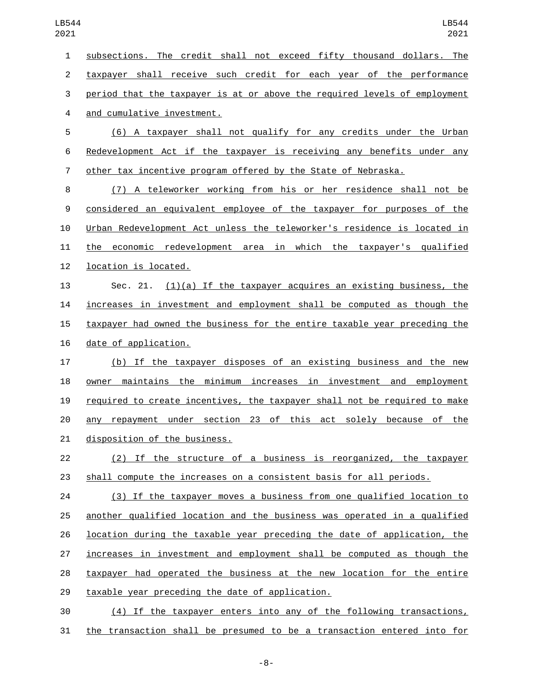subsections. The credit shall not exceed fifty thousand dollars. The taxpayer shall receive such credit for each year of the performance period that the taxpayer is at or above the required levels of employment 4 and cumulative investment. (6) A taxpayer shall not qualify for any credits under the Urban Redevelopment Act if the taxpayer is receiving any benefits under any other tax incentive program offered by the State of Nebraska. (7) A teleworker working from his or her residence shall not be considered an equivalent employee of the taxpayer for purposes of the Urban Redevelopment Act unless the teleworker's residence is located in the economic redevelopment area in which the taxpayer's qualified 12 location is located. 13 Sec. 21.  $(1)(a)$  If the taxpayer acquires an existing business, the increases in investment and employment shall be computed as though the taxpayer had owned the business for the entire taxable year preceding the 16 date of application. (b) If the taxpayer disposes of an existing business and the new owner maintains the minimum increases in investment and employment required to create incentives, the taxpayer shall not be required to make any repayment under section 23 of this act solely because of the 21 disposition of the business. (2) If the structure of a business is reorganized, the taxpayer shall compute the increases on a consistent basis for all periods. (3) If the taxpayer moves a business from one qualified location to another qualified location and the business was operated in a qualified location during the taxable year preceding the date of application, the increases in investment and employment shall be computed as though the taxpayer had operated the business at the new location for the entire 29 taxable year preceding the date of application. (4) If the taxpayer enters into any of the following transactions,

the transaction shall be presumed to be a transaction entered into for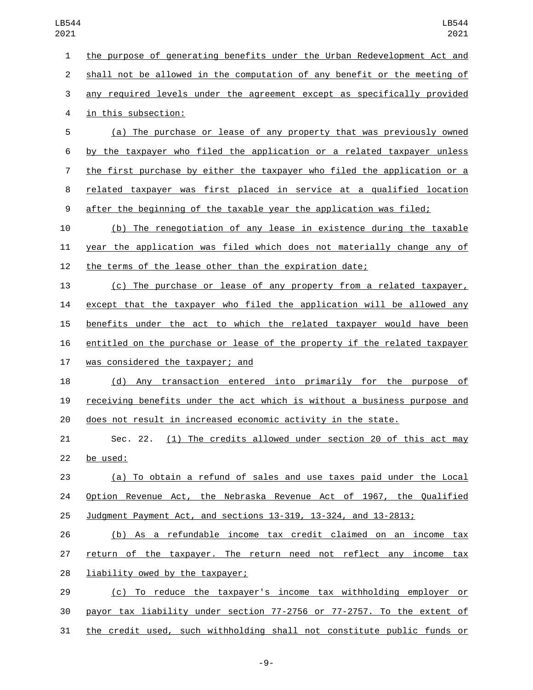the purpose of generating benefits under the Urban Redevelopment Act and shall not be allowed in the computation of any benefit or the meeting of any required levels under the agreement except as specifically provided 4 in this subsection: (a) The purchase or lease of any property that was previously owned by the taxpayer who filed the application or a related taxpayer unless 7 the first purchase by either the taxpayer who filed the application or a related taxpayer was first placed in service at a qualified location after the beginning of the taxable year the application was filed; (b) The renegotiation of any lease in existence during the taxable year the application was filed which does not materially change any of the terms of the lease other than the expiration date; (c) The purchase or lease of any property from a related taxpayer, except that the taxpayer who filed the application will be allowed any benefits under the act to which the related taxpayer would have been entitled on the purchase or lease of the property if the related taxpayer 17 was considered the taxpayer; and (d) Any transaction entered into primarily for the purpose of receiving benefits under the act which is without a business purpose and does not result in increased economic activity in the state. Sec. 22. (1) The credits allowed under section 20 of this act may 22 be used: (a) To obtain a refund of sales and use taxes paid under the Local Option Revenue Act, the Nebraska Revenue Act of 1967, the Qualified Judgment Payment Act, and sections 13-319, 13-324, and 13-2813; (b) As a refundable income tax credit claimed on an income tax return of the taxpayer. The return need not reflect any income tax 28 liability owed by the taxpayer; (c) To reduce the taxpayer's income tax withholding employer or payor tax liability under section 77-2756 or 77-2757. To the extent of the credit used, such withholding shall not constitute public funds or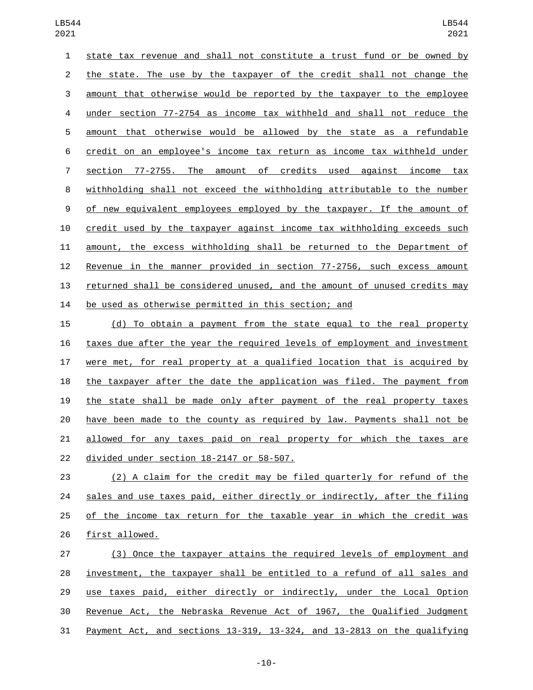state tax revenue and shall not constitute a trust fund or be owned by the state. The use by the taxpayer of the credit shall not change the amount that otherwise would be reported by the taxpayer to the employee under section 77-2754 as income tax withheld and shall not reduce the amount that otherwise would be allowed by the state as a refundable credit on an employee's income tax return as income tax withheld under section 77-2755. The amount of credits used against income tax withholding shall not exceed the withholding attributable to the number of new equivalent employees employed by the taxpayer. If the amount of credit used by the taxpayer against income tax withholding exceeds such amount, the excess withholding shall be returned to the Department of Revenue in the manner provided in section 77-2756, such excess amount returned shall be considered unused, and the amount of unused credits may be used as otherwise permitted in this section; and

 (d) To obtain a payment from the state equal to the real property taxes due after the year the required levels of employment and investment were met, for real property at a qualified location that is acquired by the taxpayer after the date the application was filed. The payment from the state shall be made only after payment of the real property taxes have been made to the county as required by law. Payments shall not be allowed for any taxes paid on real property for which the taxes are 22 divided under section 18-2147 or 58-507.

 (2) A claim for the credit may be filed quarterly for refund of the sales and use taxes paid, either directly or indirectly, after the filing of the income tax return for the taxable year in which the credit was 26 first allowed.

 (3) Once the taxpayer attains the required levels of employment and investment, the taxpayer shall be entitled to a refund of all sales and 29 use taxes paid, either directly or indirectly, under the Local Option Revenue Act, the Nebraska Revenue Act of 1967, the Qualified Judgment Payment Act, and sections 13-319, 13-324, and 13-2813 on the qualifying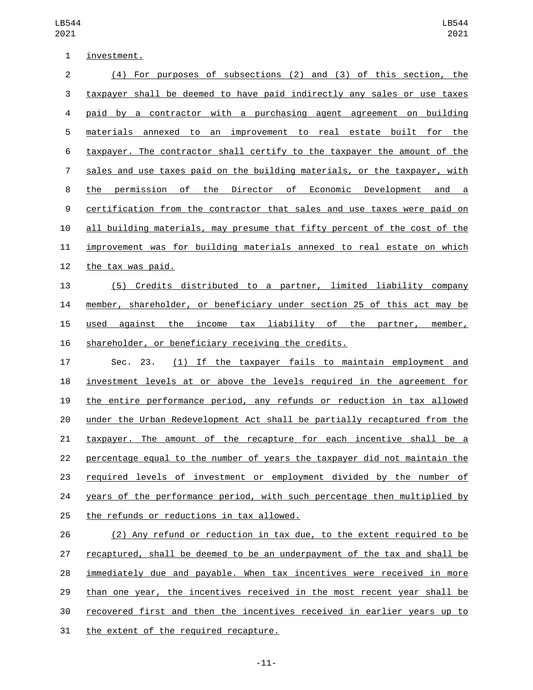| investment. |
|-------------|
|             |

| $\overline{2}$ | (4) For purposes of subsections (2) and (3) of this section, the                |
|----------------|---------------------------------------------------------------------------------|
| 3              | taxpayer shall be deemed to have paid indirectly any sales or use taxes         |
| 4              | paid by a contractor with a purchasing agent agreement on building              |
| 5              | materials annexed to an improvement to real estate built for the                |
| 6              | taxpayer. The contractor shall certify to the taxpayer the amount of the        |
| 7              | sales and use taxes paid on the building materials, or the taxpayer, with       |
| 8              | Director of Economic Development and a<br>permission of the<br>the              |
| 9              | certification from the contractor that sales and use taxes were paid on         |
| 10             | all building materials, may presume that fifty percent of the cost of the       |
| 11             | improvement was for building materials annexed to real estate on which          |
| 12             | the tax was paid.                                                               |
| 13             | Credits distributed to a partner, limited liability company<br>(5)              |
| 14             | member, shareholder, or beneficiary under section 25 of this act may be         |
| 15             | tax liability of the<br>against<br>the<br>used<br>income<br>partner,<br>member, |
| 16             | shareholder, or beneficiary receiving the credits.                              |
| 17             | (1) If the taxpayer fails to maintain employment<br>Sec. 23.<br>and             |

 investment levels at or above the levels required in the agreement for the entire performance period, any refunds or reduction in tax allowed under the Urban Redevelopment Act shall be partially recaptured from the taxpayer. The amount of the recapture for each incentive shall be a percentage equal to the number of years the taxpayer did not maintain the required levels of investment or employment divided by the number of 24 years of the performance period, with such percentage then multiplied by 25 the refunds or reductions in tax allowed.

 (2) Any refund or reduction in tax due, to the extent required to be recaptured, shall be deemed to be an underpayment of the tax and shall be immediately due and payable. When tax incentives were received in more than one year, the incentives received in the most recent year shall be recovered first and then the incentives received in earlier years up to 31 the extent of the required recapture.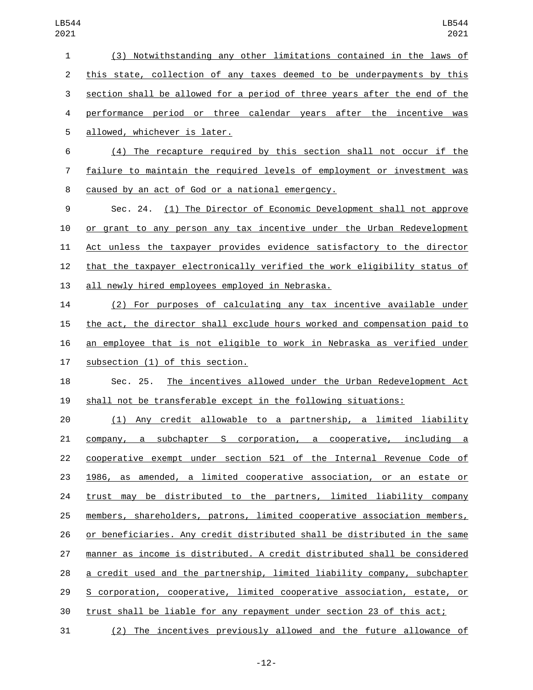(3) Notwithstanding any other limitations contained in the laws of this state, collection of any taxes deemed to be underpayments by this section shall be allowed for a period of three years after the end of the performance period or three calendar years after the incentive was 5 allowed, whichever is later.

 (4) The recapture required by this section shall not occur if the failure to maintain the required levels of employment or investment was 8 caused by an act of God or a national emergency.

 Sec. 24. (1) The Director of Economic Development shall not approve or grant to any person any tax incentive under the Urban Redevelopment Act unless the taxpayer provides evidence satisfactory to the director that the taxpayer electronically verified the work eligibility status of 13 all newly hired employees employed in Nebraska.

 (2) For purposes of calculating any tax incentive available under the act, the director shall exclude hours worked and compensation paid to an employee that is not eligible to work in Nebraska as verified under 17 subsection (1) of this section.

 Sec. 25. The incentives allowed under the Urban Redevelopment Act shall not be transferable except in the following situations:

 (1) Any credit allowable to a partnership, a limited liability company, a subchapter S corporation, a cooperative, including a 22 cooperative exempt under section 521 of the Internal Revenue Code of 1986, as amended, a limited cooperative association, or an estate or trust may be distributed to the partners, limited liability company members, shareholders, patrons, limited cooperative association members, or beneficiaries. Any credit distributed shall be distributed in the same manner as income is distributed. A credit distributed shall be considered a credit used and the partnership, limited liability company, subchapter S corporation, cooperative, limited cooperative association, estate, or trust shall be liable for any repayment under section 23 of this act;

(2) The incentives previously allowed and the future allowance of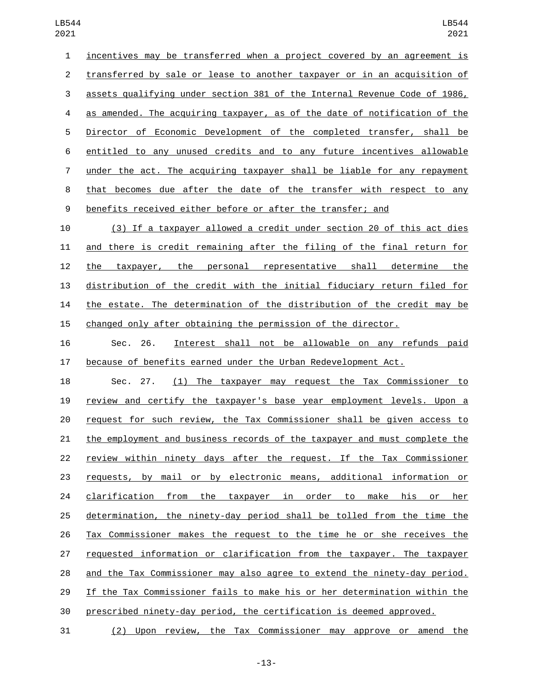incentives may be transferred when a project covered by an agreement is transferred by sale or lease to another taxpayer or in an acquisition of assets qualifying under section 381 of the Internal Revenue Code of 1986, as amended. The acquiring taxpayer, as of the date of notification of the Director of Economic Development of the completed transfer, shall be entitled to any unused credits and to any future incentives allowable under the act. The acquiring taxpayer shall be liable for any repayment that becomes due after the date of the transfer with respect to any benefits received either before or after the transfer; and

 (3) If a taxpayer allowed a credit under section 20 of this act dies and there is credit remaining after the filing of the final return for the taxpayer, the personal representative shall determine the distribution of the credit with the initial fiduciary return filed for the estate. The determination of the distribution of the credit may be changed only after obtaining the permission of the director.

 Sec. 26. Interest shall not be allowable on any refunds paid because of benefits earned under the Urban Redevelopment Act.

 Sec. 27. (1) The taxpayer may request the Tax Commissioner to review and certify the taxpayer's base year employment levels. Upon a request for such review, the Tax Commissioner shall be given access to the employment and business records of the taxpayer and must complete the 22 review within ninety days after the request. If the Tax Commissioner requests, by mail or by electronic means, additional information or clarification from the taxpayer in order to make his or her determination, the ninety-day period shall be tolled from the time the Tax Commissioner makes the request to the time he or she receives the requested information or clarification from the taxpayer. The taxpayer and the Tax Commissioner may also agree to extend the ninety-day period. If the Tax Commissioner fails to make his or her determination within the prescribed ninety-day period, the certification is deemed approved.

(2) Upon review, the Tax Commissioner may approve or amend the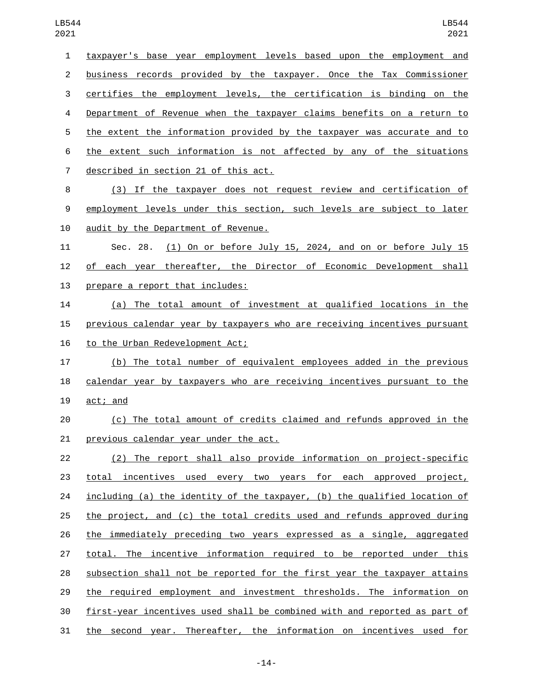| 1              | taxpayer's base year employment levels based upon the employment and        |
|----------------|-----------------------------------------------------------------------------|
| $\overline{2}$ | business records provided by the taxpayer. Once the Tax Commissioner        |
| 3              | certifies the employment levels, the certification is binding on the        |
| 4              | Department of Revenue when the taxpayer claims benefits on a return to      |
| 5              | the extent the information provided by the taxpayer was accurate and to     |
| 6              | the extent such information is not affected by any of the situations        |
| 7              | described in section 21 of this act.                                        |
| 8              | (3) If the taxpayer does not request review and certification of            |
| 9              | employment levels under this section, such levels are subject to later      |
| 10             | audit by the Department of Revenue.                                         |
| 11             | <u>(1) On or before July 15, 2024, and on or before July 15</u><br>Sec. 28. |
| 12             | of each year thereafter, the Director of Economic Development shall         |
| 13             | prepare a report that includes:                                             |
| 14             | (a) The total amount of investment at qualified locations in the            |
| 15             | previous calendar year by taxpayers who are receiving incentives pursuant   |
| 16             | to the Urban Redevelopment Act;                                             |
| 17             | (b) The total number of equivalent employees added in the previous          |
| 18             | calendar year by taxpayers who are receiving incentives pursuant to the     |
| 19             | act; and                                                                    |
| 20             | (c) The total amount of credits claimed and refunds approved in the         |
| 21             | previous calendar year under the act.                                       |
| 22             | (2) The report shall also provide information on project-specific           |
| 23             | total incentives used every two years for each approved project,            |
| 24             | including (a) the identity of the taxpayer, (b) the qualified location of   |
| 25             | the project, and (c) the total credits used and refunds approved during     |
| 26             | the immediately preceding two years expressed as a single, aggregated       |
| 27             | total. The incentive information required to be reported under this         |
| 28             | subsection shall not be reported for the first year the taxpayer attains    |
| 29             | the required employment and investment thresholds. The information on       |
| 30             | first-year incentives used shall be combined with and reported as part of   |
| 31             | the second year. Thereafter, the information on incentives used for         |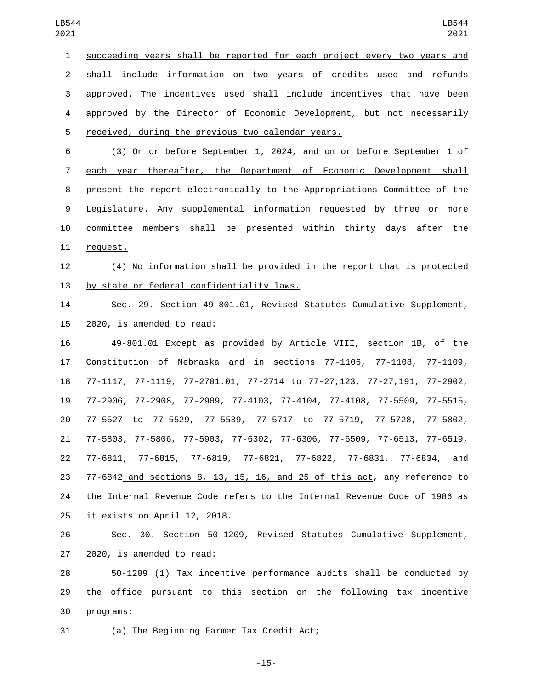succeeding years shall be reported for each project every two years and shall include information on two years of credits used and refunds approved. The incentives used shall include incentives that have been approved by the Director of Economic Development, but not necessarily 5 received, during the previous two calendar years.

 (3) On or before September 1, 2024, and on or before September 1 of each year thereafter, the Department of Economic Development shall present the report electronically to the Appropriations Committee of the Legislature. Any supplemental information requested by three or more committee members shall be presented within thirty days after the 11 request.

 (4) No information shall be provided in the report that is protected 13 by state or federal confidentiality laws.

 Sec. 29. Section 49-801.01, Revised Statutes Cumulative Supplement, 15 2020, is amended to read:

 49-801.01 Except as provided by Article VIII, section 1B, of the Constitution of Nebraska and in sections 77-1106, 77-1108, 77-1109, 77-1117, 77-1119, 77-2701.01, 77-2714 to 77-27,123, 77-27,191, 77-2902, 77-2906, 77-2908, 77-2909, 77-4103, 77-4104, 77-4108, 77-5509, 77-5515, 77-5527 to 77-5529, 77-5539, 77-5717 to 77-5719, 77-5728, 77-5802, 77-5803, 77-5806, 77-5903, 77-6302, 77-6306, 77-6509, 77-6513, 77-6519, 77-6811, 77-6815, 77-6819, 77-6821, 77-6822, 77-6831, 77-6834, and 77-6842 and sections 8, 13, 15, 16, and 25 of this act, any reference to the Internal Revenue Code refers to the Internal Revenue Code of 1986 as 25 it exists on April 12, 2018.

 Sec. 30. Section 50-1209, Revised Statutes Cumulative Supplement,  $2020$ , is amended to read:

 50-1209 (1) Tax incentive performance audits shall be conducted by the office pursuant to this section on the following tax incentive 30 programs:

(a) The Beginning Farmer Tax Credit Act;

-15-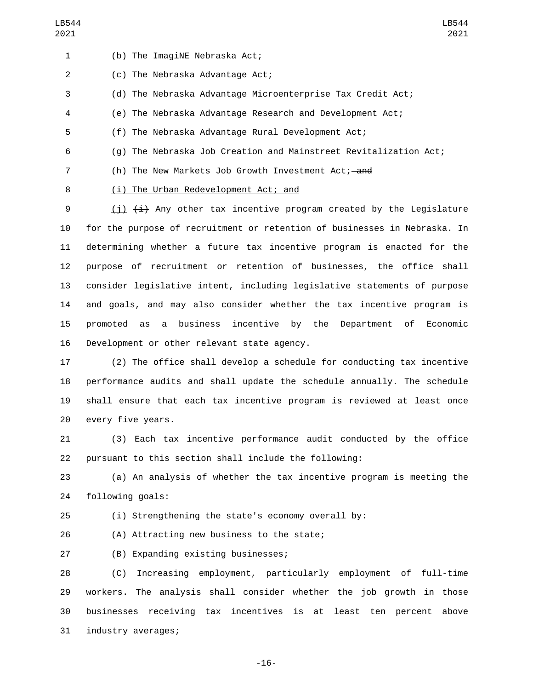1 (b) The ImagiNE Nebraska Act;

2 (c) The Nebraska Advantage Act;

(d) The Nebraska Advantage Microenterprise Tax Credit Act;

(e) The Nebraska Advantage Research and Development Act;

(f) The Nebraska Advantage Rural Development Act;

(g) The Nebraska Job Creation and Mainstreet Revitalization Act;

7 (h) The New Markets Job Growth Investment Act; and

8 (i) The Urban Redevelopment Act; and

 $(i)$   $(i)$   $(i)$  Any other tax incentive program created by the Legislature for the purpose of recruitment or retention of businesses in Nebraska. In determining whether a future tax incentive program is enacted for the purpose of recruitment or retention of businesses, the office shall consider legislative intent, including legislative statements of purpose and goals, and may also consider whether the tax incentive program is promoted as a business incentive by the Department of Economic 16 Development or other relevant state agency.

 (2) The office shall develop a schedule for conducting tax incentive performance audits and shall update the schedule annually. The schedule shall ensure that each tax incentive program is reviewed at least once 20 every five years.

 (3) Each tax incentive performance audit conducted by the office pursuant to this section shall include the following:

 (a) An analysis of whether the tax incentive program is meeting the 24 following goals:

(i) Strengthening the state's economy overall by:

26 (A) Attracting new business to the state;

(B) Expanding existing businesses;27

 (C) Increasing employment, particularly employment of full-time workers. The analysis shall consider whether the job growth in those businesses receiving tax incentives is at least ten percent above 31 industry averages;

-16-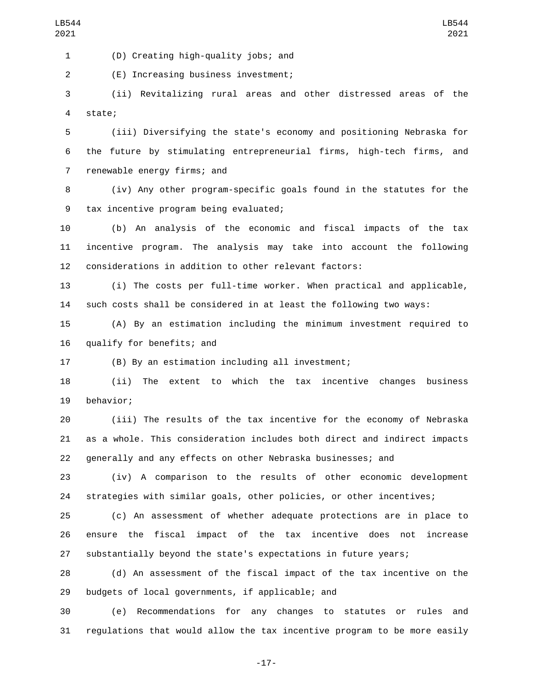(D) Creating high-quality jobs; and1

(E) Increasing business investment;2

 (ii) Revitalizing rural areas and other distressed areas of the state;4

 (iii) Diversifying the state's economy and positioning Nebraska for the future by stimulating entrepreneurial firms, high-tech firms, and 7 renewable energy firms; and

 (iv) Any other program-specific goals found in the statutes for the 9 tax incentive program being evaluated;

 (b) An analysis of the economic and fiscal impacts of the tax incentive program. The analysis may take into account the following considerations in addition to other relevant factors:

 (i) The costs per full-time worker. When practical and applicable, such costs shall be considered in at least the following two ways:

 (A) By an estimation including the minimum investment required to 16 qualify for benefits; and

(B) By an estimation including all investment;

 (ii) The extent to which the tax incentive changes business 19 behavior;

 (iii) The results of the tax incentive for the economy of Nebraska as a whole. This consideration includes both direct and indirect impacts generally and any effects on other Nebraska businesses; and

 (iv) A comparison to the results of other economic development strategies with similar goals, other policies, or other incentives;

 (c) An assessment of whether adequate protections are in place to ensure the fiscal impact of the tax incentive does not increase substantially beyond the state's expectations in future years;

 (d) An assessment of the fiscal impact of the tax incentive on the 29 budgets of local governments, if applicable; and

 (e) Recommendations for any changes to statutes or rules and regulations that would allow the tax incentive program to be more easily

-17-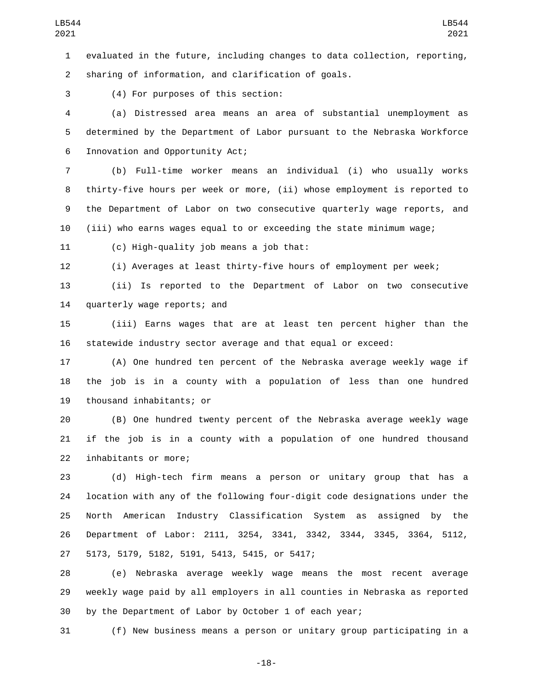evaluated in the future, including changes to data collection, reporting, sharing of information, and clarification of goals.

(4) For purposes of this section:3

 (a) Distressed area means an area of substantial unemployment as determined by the Department of Labor pursuant to the Nebraska Workforce 6 Innovation and Opportunity Act;

 (b) Full-time worker means an individual (i) who usually works thirty-five hours per week or more, (ii) whose employment is reported to the Department of Labor on two consecutive quarterly wage reports, and (iii) who earns wages equal to or exceeding the state minimum wage;

11 (c) High-quality job means a job that:

(i) Averages at least thirty-five hours of employment per week;

 (ii) Is reported to the Department of Labor on two consecutive 14 quarterly wage reports; and

 (iii) Earns wages that are at least ten percent higher than the statewide industry sector average and that equal or exceed:

 (A) One hundred ten percent of the Nebraska average weekly wage if the job is in a county with a population of less than one hundred 19 thousand inhabitants; or

 (B) One hundred twenty percent of the Nebraska average weekly wage if the job is in a county with a population of one hundred thousand 22 inhabitants or more;

 (d) High-tech firm means a person or unitary group that has a location with any of the following four-digit code designations under the North American Industry Classification System as assigned by the Department of Labor: 2111, 3254, 3341, 3342, 3344, 3345, 3364, 5112, 5173, 5179, 5182, 5191, 5413, 5415, or 5417;27

 (e) Nebraska average weekly wage means the most recent average weekly wage paid by all employers in all counties in Nebraska as reported by the Department of Labor by October 1 of each year;

(f) New business means a person or unitary group participating in a

-18-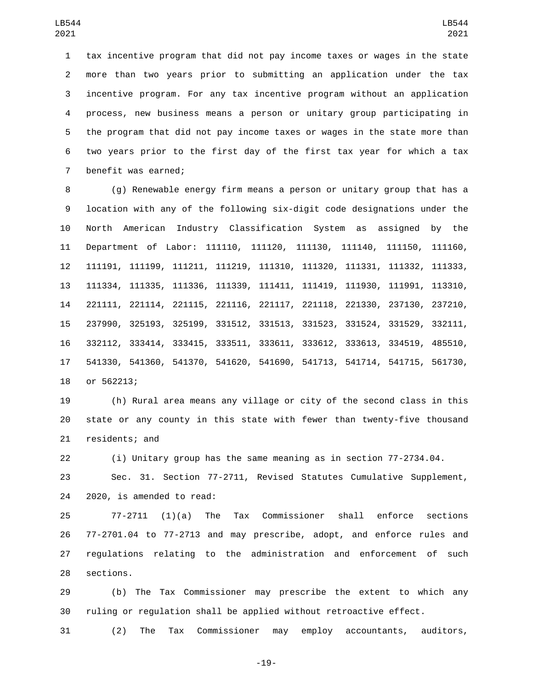tax incentive program that did not pay income taxes or wages in the state more than two years prior to submitting an application under the tax incentive program. For any tax incentive program without an application process, new business means a person or unitary group participating in the program that did not pay income taxes or wages in the state more than two years prior to the first day of the first tax year for which a tax 7 benefit was earned;

 (g) Renewable energy firm means a person or unitary group that has a location with any of the following six-digit code designations under the North American Industry Classification System as assigned by the Department of Labor: 111110, 111120, 111130, 111140, 111150, 111160, 111191, 111199, 111211, 111219, 111310, 111320, 111331, 111332, 111333, 111334, 111335, 111336, 111339, 111411, 111419, 111930, 111991, 113310, 221111, 221114, 221115, 221116, 221117, 221118, 221330, 237130, 237210, 237990, 325193, 325199, 331512, 331513, 331523, 331524, 331529, 332111, 332112, 333414, 333415, 333511, 333611, 333612, 333613, 334519, 485510, 541330, 541360, 541370, 541620, 541690, 541713, 541714, 541715, 561730, 18 or 562213;

 (h) Rural area means any village or city of the second class in this state or any county in this state with fewer than twenty-five thousand 21 residents; and

(i) Unitary group has the same meaning as in section 77-2734.04.

 Sec. 31. Section 77-2711, Revised Statutes Cumulative Supplement, 24 2020, is amended to read:

 77-2711 (1)(a) The Tax Commissioner shall enforce sections 77-2701.04 to 77-2713 and may prescribe, adopt, and enforce rules and regulations relating to the administration and enforcement of such 28 sections.

 (b) The Tax Commissioner may prescribe the extent to which any ruling or regulation shall be applied without retroactive effect.

(2) The Tax Commissioner may employ accountants, auditors,

-19-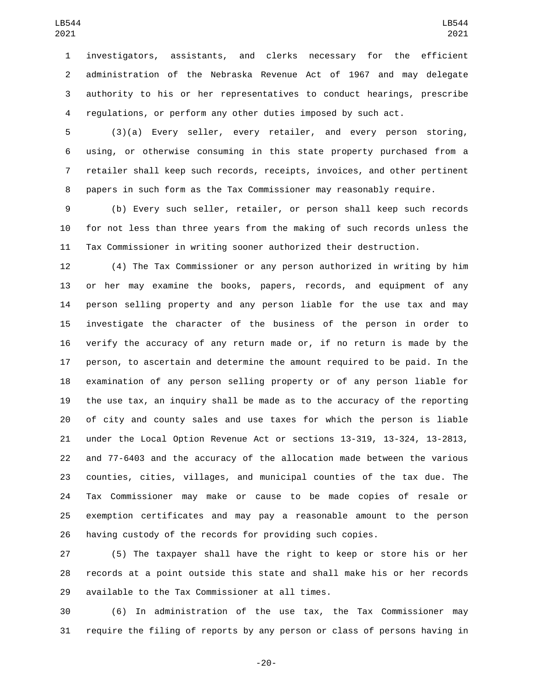investigators, assistants, and clerks necessary for the efficient administration of the Nebraska Revenue Act of 1967 and may delegate authority to his or her representatives to conduct hearings, prescribe regulations, or perform any other duties imposed by such act.

 (3)(a) Every seller, every retailer, and every person storing, using, or otherwise consuming in this state property purchased from a retailer shall keep such records, receipts, invoices, and other pertinent papers in such form as the Tax Commissioner may reasonably require.

 (b) Every such seller, retailer, or person shall keep such records for not less than three years from the making of such records unless the Tax Commissioner in writing sooner authorized their destruction.

 (4) The Tax Commissioner or any person authorized in writing by him or her may examine the books, papers, records, and equipment of any person selling property and any person liable for the use tax and may investigate the character of the business of the person in order to verify the accuracy of any return made or, if no return is made by the person, to ascertain and determine the amount required to be paid. In the examination of any person selling property or of any person liable for the use tax, an inquiry shall be made as to the accuracy of the reporting of city and county sales and use taxes for which the person is liable under the Local Option Revenue Act or sections 13-319, 13-324, 13-2813, and 77-6403 and the accuracy of the allocation made between the various counties, cities, villages, and municipal counties of the tax due. The Tax Commissioner may make or cause to be made copies of resale or exemption certificates and may pay a reasonable amount to the person having custody of the records for providing such copies.

 (5) The taxpayer shall have the right to keep or store his or her records at a point outside this state and shall make his or her records 29 available to the Tax Commissioner at all times.

 (6) In administration of the use tax, the Tax Commissioner may require the filing of reports by any person or class of persons having in

-20-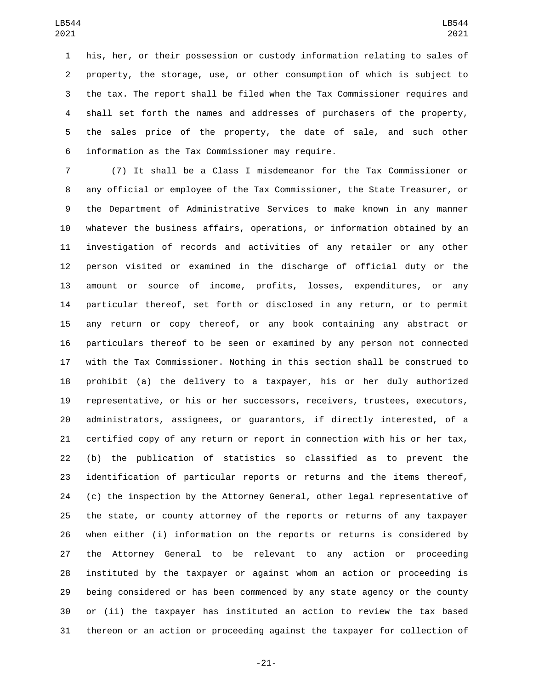his, her, or their possession or custody information relating to sales of property, the storage, use, or other consumption of which is subject to the tax. The report shall be filed when the Tax Commissioner requires and shall set forth the names and addresses of purchasers of the property, the sales price of the property, the date of sale, and such other information as the Tax Commissioner may require.6

 (7) It shall be a Class I misdemeanor for the Tax Commissioner or any official or employee of the Tax Commissioner, the State Treasurer, or the Department of Administrative Services to make known in any manner whatever the business affairs, operations, or information obtained by an investigation of records and activities of any retailer or any other person visited or examined in the discharge of official duty or the amount or source of income, profits, losses, expenditures, or any particular thereof, set forth or disclosed in any return, or to permit any return or copy thereof, or any book containing any abstract or particulars thereof to be seen or examined by any person not connected with the Tax Commissioner. Nothing in this section shall be construed to prohibit (a) the delivery to a taxpayer, his or her duly authorized representative, or his or her successors, receivers, trustees, executors, administrators, assignees, or guarantors, if directly interested, of a certified copy of any return or report in connection with his or her tax, (b) the publication of statistics so classified as to prevent the identification of particular reports or returns and the items thereof, (c) the inspection by the Attorney General, other legal representative of the state, or county attorney of the reports or returns of any taxpayer when either (i) information on the reports or returns is considered by the Attorney General to be relevant to any action or proceeding instituted by the taxpayer or against whom an action or proceeding is being considered or has been commenced by any state agency or the county or (ii) the taxpayer has instituted an action to review the tax based thereon or an action or proceeding against the taxpayer for collection of

-21-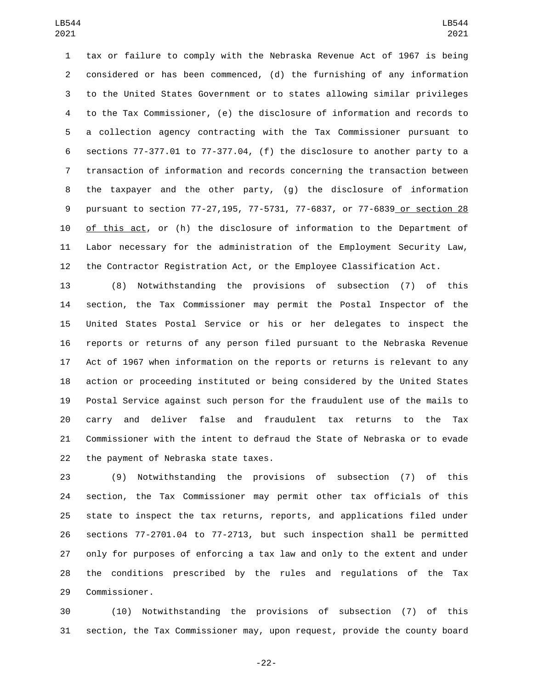tax or failure to comply with the Nebraska Revenue Act of 1967 is being considered or has been commenced, (d) the furnishing of any information to the United States Government or to states allowing similar privileges to the Tax Commissioner, (e) the disclosure of information and records to a collection agency contracting with the Tax Commissioner pursuant to sections 77-377.01 to 77-377.04, (f) the disclosure to another party to a transaction of information and records concerning the transaction between the taxpayer and the other party, (g) the disclosure of information pursuant to section 77-27,195, 77-5731, 77-6837, or 77-6839 or section 28 of this act, or (h) the disclosure of information to the Department of Labor necessary for the administration of the Employment Security Law, the Contractor Registration Act, or the Employee Classification Act.

 (8) Notwithstanding the provisions of subsection (7) of this section, the Tax Commissioner may permit the Postal Inspector of the United States Postal Service or his or her delegates to inspect the reports or returns of any person filed pursuant to the Nebraska Revenue Act of 1967 when information on the reports or returns is relevant to any action or proceeding instituted or being considered by the United States Postal Service against such person for the fraudulent use of the mails to carry and deliver false and fraudulent tax returns to the Tax Commissioner with the intent to defraud the State of Nebraska or to evade 22 the payment of Nebraska state taxes.

 (9) Notwithstanding the provisions of subsection (7) of this section, the Tax Commissioner may permit other tax officials of this state to inspect the tax returns, reports, and applications filed under sections 77-2701.04 to 77-2713, but such inspection shall be permitted only for purposes of enforcing a tax law and only to the extent and under the conditions prescribed by the rules and regulations of the Tax 29 Commissioner.

 (10) Notwithstanding the provisions of subsection (7) of this section, the Tax Commissioner may, upon request, provide the county board

-22-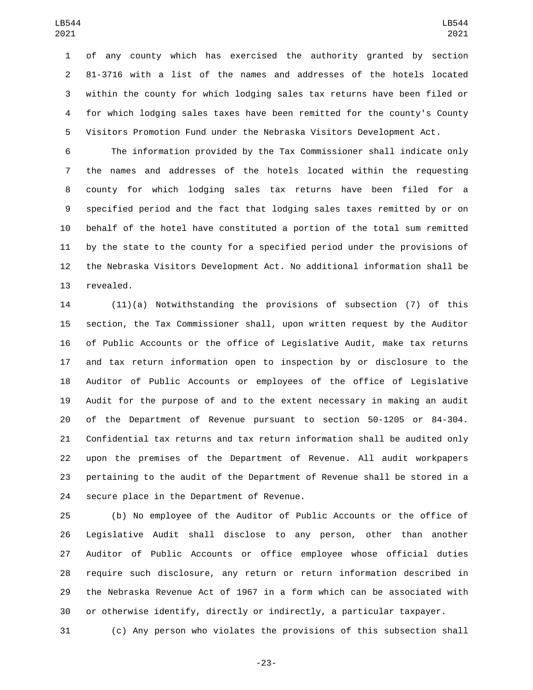of any county which has exercised the authority granted by section 81-3716 with a list of the names and addresses of the hotels located within the county for which lodging sales tax returns have been filed or for which lodging sales taxes have been remitted for the county's County Visitors Promotion Fund under the Nebraska Visitors Development Act.

 The information provided by the Tax Commissioner shall indicate only the names and addresses of the hotels located within the requesting county for which lodging sales tax returns have been filed for a specified period and the fact that lodging sales taxes remitted by or on behalf of the hotel have constituted a portion of the total sum remitted by the state to the county for a specified period under the provisions of the Nebraska Visitors Development Act. No additional information shall be 13 revealed.

 (11)(a) Notwithstanding the provisions of subsection (7) of this section, the Tax Commissioner shall, upon written request by the Auditor of Public Accounts or the office of Legislative Audit, make tax returns and tax return information open to inspection by or disclosure to the Auditor of Public Accounts or employees of the office of Legislative Audit for the purpose of and to the extent necessary in making an audit of the Department of Revenue pursuant to section 50-1205 or 84-304. Confidential tax returns and tax return information shall be audited only upon the premises of the Department of Revenue. All audit workpapers pertaining to the audit of the Department of Revenue shall be stored in a 24 secure place in the Department of Revenue.

 (b) No employee of the Auditor of Public Accounts or the office of Legislative Audit shall disclose to any person, other than another Auditor of Public Accounts or office employee whose official duties require such disclosure, any return or return information described in the Nebraska Revenue Act of 1967 in a form which can be associated with or otherwise identify, directly or indirectly, a particular taxpayer.

(c) Any person who violates the provisions of this subsection shall

-23-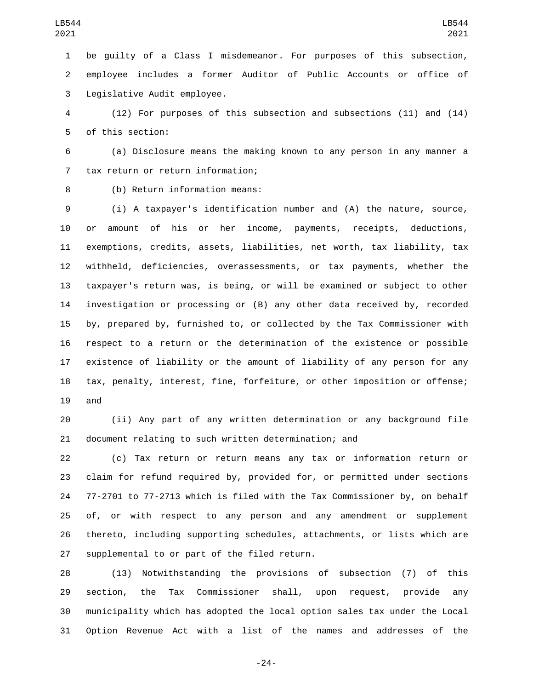be guilty of a Class I misdemeanor. For purposes of this subsection, employee includes a former Auditor of Public Accounts or office of 3 Legislative Audit employee.

 (12) For purposes of this subsection and subsections (11) and (14) 5 of this section:

 (a) Disclosure means the making known to any person in any manner a 7 tax return or return information;

8 (b) Return information means:

 (i) A taxpayer's identification number and (A) the nature, source, or amount of his or her income, payments, receipts, deductions, exemptions, credits, assets, liabilities, net worth, tax liability, tax withheld, deficiencies, overassessments, or tax payments, whether the taxpayer's return was, is being, or will be examined or subject to other investigation or processing or (B) any other data received by, recorded by, prepared by, furnished to, or collected by the Tax Commissioner with respect to a return or the determination of the existence or possible existence of liability or the amount of liability of any person for any tax, penalty, interest, fine, forfeiture, or other imposition or offense; and

 (ii) Any part of any written determination or any background file document relating to such written determination; and

 (c) Tax return or return means any tax or information return or claim for refund required by, provided for, or permitted under sections 77-2701 to 77-2713 which is filed with the Tax Commissioner by, on behalf of, or with respect to any person and any amendment or supplement thereto, including supporting schedules, attachments, or lists which are 27 supplemental to or part of the filed return.

 (13) Notwithstanding the provisions of subsection (7) of this section, the Tax Commissioner shall, upon request, provide any municipality which has adopted the local option sales tax under the Local Option Revenue Act with a list of the names and addresses of the

-24-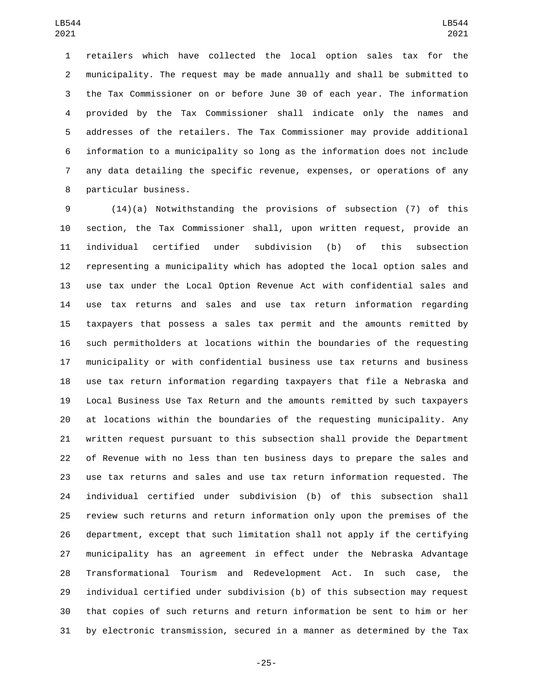retailers which have collected the local option sales tax for the municipality. The request may be made annually and shall be submitted to the Tax Commissioner on or before June 30 of each year. The information provided by the Tax Commissioner shall indicate only the names and addresses of the retailers. The Tax Commissioner may provide additional information to a municipality so long as the information does not include any data detailing the specific revenue, expenses, or operations of any 8 particular business.

 (14)(a) Notwithstanding the provisions of subsection (7) of this section, the Tax Commissioner shall, upon written request, provide an individual certified under subdivision (b) of this subsection representing a municipality which has adopted the local option sales and use tax under the Local Option Revenue Act with confidential sales and use tax returns and sales and use tax return information regarding taxpayers that possess a sales tax permit and the amounts remitted by such permitholders at locations within the boundaries of the requesting municipality or with confidential business use tax returns and business use tax return information regarding taxpayers that file a Nebraska and Local Business Use Tax Return and the amounts remitted by such taxpayers at locations within the boundaries of the requesting municipality. Any written request pursuant to this subsection shall provide the Department of Revenue with no less than ten business days to prepare the sales and use tax returns and sales and use tax return information requested. The individual certified under subdivision (b) of this subsection shall review such returns and return information only upon the premises of the department, except that such limitation shall not apply if the certifying municipality has an agreement in effect under the Nebraska Advantage Transformational Tourism and Redevelopment Act. In such case, the individual certified under subdivision (b) of this subsection may request that copies of such returns and return information be sent to him or her by electronic transmission, secured in a manner as determined by the Tax

-25-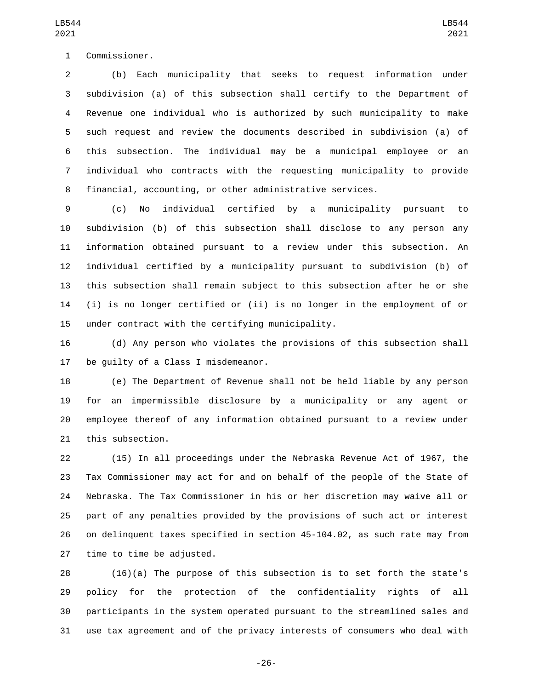1 Commissioner.

 (b) Each municipality that seeks to request information under subdivision (a) of this subsection shall certify to the Department of Revenue one individual who is authorized by such municipality to make such request and review the documents described in subdivision (a) of this subsection. The individual may be a municipal employee or an individual who contracts with the requesting municipality to provide financial, accounting, or other administrative services.

 (c) No individual certified by a municipality pursuant to subdivision (b) of this subsection shall disclose to any person any information obtained pursuant to a review under this subsection. An individual certified by a municipality pursuant to subdivision (b) of this subsection shall remain subject to this subsection after he or she (i) is no longer certified or (ii) is no longer in the employment of or 15 under contract with the certifying municipality.

 (d) Any person who violates the provisions of this subsection shall 17 be quilty of a Class I misdemeanor.

 (e) The Department of Revenue shall not be held liable by any person for an impermissible disclosure by a municipality or any agent or employee thereof of any information obtained pursuant to a review under 21 this subsection.

 (15) In all proceedings under the Nebraska Revenue Act of 1967, the Tax Commissioner may act for and on behalf of the people of the State of Nebraska. The Tax Commissioner in his or her discretion may waive all or part of any penalties provided by the provisions of such act or interest on delinquent taxes specified in section 45-104.02, as such rate may from 27 time to time be adjusted.

 (16)(a) The purpose of this subsection is to set forth the state's policy for the protection of the confidentiality rights of all participants in the system operated pursuant to the streamlined sales and use tax agreement and of the privacy interests of consumers who deal with

-26-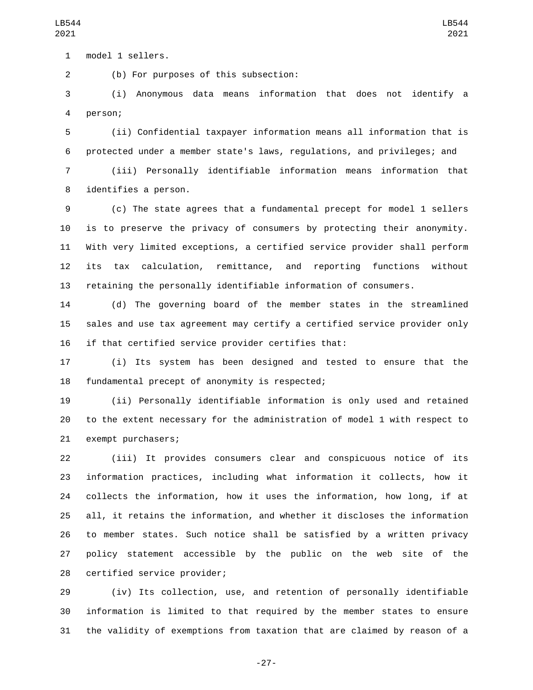1 model 1 sellers.

(b) For purposes of this subsection:2

 (i) Anonymous data means information that does not identify a 4 person;

 (ii) Confidential taxpayer information means all information that is protected under a member state's laws, regulations, and privileges; and

 (iii) Personally identifiable information means information that 8 identifies a person.

 (c) The state agrees that a fundamental precept for model 1 sellers is to preserve the privacy of consumers by protecting their anonymity. With very limited exceptions, a certified service provider shall perform its tax calculation, remittance, and reporting functions without retaining the personally identifiable information of consumers.

 (d) The governing board of the member states in the streamlined sales and use tax agreement may certify a certified service provider only if that certified service provider certifies that:

 (i) Its system has been designed and tested to ensure that the 18 fundamental precept of anonymity is respected;

 (ii) Personally identifiable information is only used and retained to the extent necessary for the administration of model 1 with respect to 21 exempt purchasers;

 (iii) It provides consumers clear and conspicuous notice of its information practices, including what information it collects, how it collects the information, how it uses the information, how long, if at all, it retains the information, and whether it discloses the information to member states. Such notice shall be satisfied by a written privacy policy statement accessible by the public on the web site of the 28 certified service provider;

 (iv) Its collection, use, and retention of personally identifiable information is limited to that required by the member states to ensure the validity of exemptions from taxation that are claimed by reason of a

-27-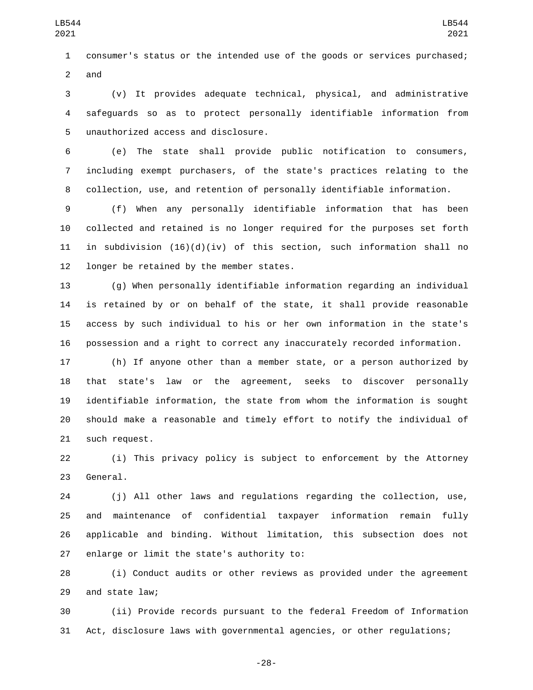consumer's status or the intended use of the goods or services purchased; 2 and

 (v) It provides adequate technical, physical, and administrative safeguards so as to protect personally identifiable information from 5 unauthorized access and disclosure.

 (e) The state shall provide public notification to consumers, including exempt purchasers, of the state's practices relating to the collection, use, and retention of personally identifiable information.

 (f) When any personally identifiable information that has been collected and retained is no longer required for the purposes set forth in subdivision (16)(d)(iv) of this section, such information shall no 12 longer be retained by the member states.

 (g) When personally identifiable information regarding an individual is retained by or on behalf of the state, it shall provide reasonable access by such individual to his or her own information in the state's possession and a right to correct any inaccurately recorded information.

 (h) If anyone other than a member state, or a person authorized by that state's law or the agreement, seeks to discover personally identifiable information, the state from whom the information is sought should make a reasonable and timely effort to notify the individual of 21 such request.

 (i) This privacy policy is subject to enforcement by the Attorney 23 General.

 (j) All other laws and regulations regarding the collection, use, and maintenance of confidential taxpayer information remain fully applicable and binding. Without limitation, this subsection does not 27 enlarge or limit the state's authority to:

 (i) Conduct audits or other reviews as provided under the agreement 29 and state law;

 (ii) Provide records pursuant to the federal Freedom of Information Act, disclosure laws with governmental agencies, or other regulations;

-28-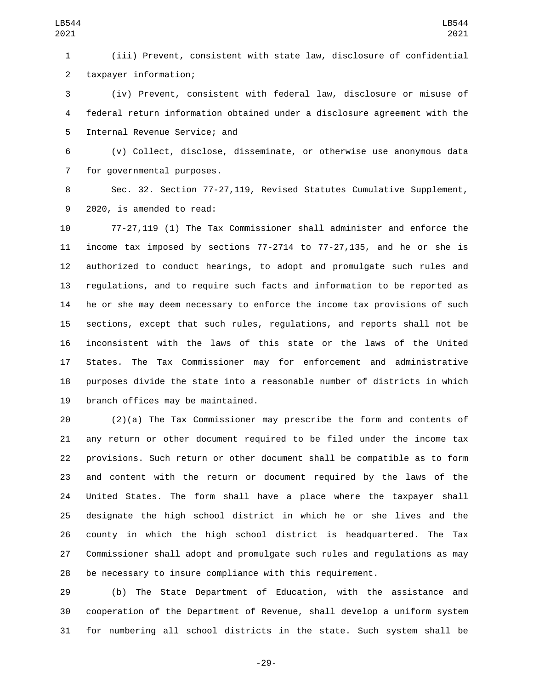(iii) Prevent, consistent with state law, disclosure of confidential taxpayer information;2

 (iv) Prevent, consistent with federal law, disclosure or misuse of federal return information obtained under a disclosure agreement with the 5 Internal Revenue Service; and

 (v) Collect, disclose, disseminate, or otherwise use anonymous data 7 for governmental purposes.

 Sec. 32. Section 77-27,119, Revised Statutes Cumulative Supplement, 9 2020, is amended to read:

 77-27,119 (1) The Tax Commissioner shall administer and enforce the income tax imposed by sections 77-2714 to 77-27,135, and he or she is authorized to conduct hearings, to adopt and promulgate such rules and regulations, and to require such facts and information to be reported as he or she may deem necessary to enforce the income tax provisions of such sections, except that such rules, regulations, and reports shall not be inconsistent with the laws of this state or the laws of the United States. The Tax Commissioner may for enforcement and administrative purposes divide the state into a reasonable number of districts in which 19 branch offices may be maintained.

 (2)(a) The Tax Commissioner may prescribe the form and contents of any return or other document required to be filed under the income tax provisions. Such return or other document shall be compatible as to form and content with the return or document required by the laws of the United States. The form shall have a place where the taxpayer shall designate the high school district in which he or she lives and the county in which the high school district is headquartered. The Tax Commissioner shall adopt and promulgate such rules and regulations as may be necessary to insure compliance with this requirement.

 (b) The State Department of Education, with the assistance and cooperation of the Department of Revenue, shall develop a uniform system for numbering all school districts in the state. Such system shall be

-29-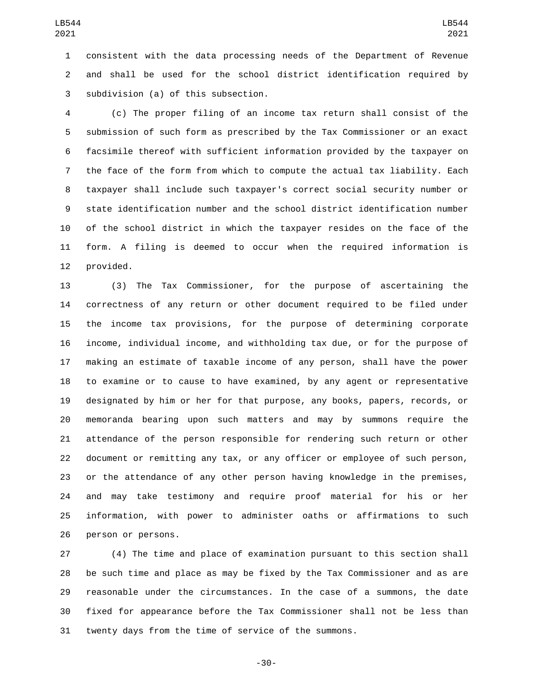consistent with the data processing needs of the Department of Revenue and shall be used for the school district identification required by 3 subdivision (a) of this subsection.

 (c) The proper filing of an income tax return shall consist of the submission of such form as prescribed by the Tax Commissioner or an exact facsimile thereof with sufficient information provided by the taxpayer on the face of the form from which to compute the actual tax liability. Each taxpayer shall include such taxpayer's correct social security number or state identification number and the school district identification number of the school district in which the taxpayer resides on the face of the form. A filing is deemed to occur when the required information is 12 provided.

 (3) The Tax Commissioner, for the purpose of ascertaining the correctness of any return or other document required to be filed under the income tax provisions, for the purpose of determining corporate income, individual income, and withholding tax due, or for the purpose of making an estimate of taxable income of any person, shall have the power to examine or to cause to have examined, by any agent or representative designated by him or her for that purpose, any books, papers, records, or memoranda bearing upon such matters and may by summons require the attendance of the person responsible for rendering such return or other document or remitting any tax, or any officer or employee of such person, or the attendance of any other person having knowledge in the premises, and may take testimony and require proof material for his or her information, with power to administer oaths or affirmations to such 26 person or persons.

 (4) The time and place of examination pursuant to this section shall be such time and place as may be fixed by the Tax Commissioner and as are reasonable under the circumstances. In the case of a summons, the date fixed for appearance before the Tax Commissioner shall not be less than twenty days from the time of service of the summons.

-30-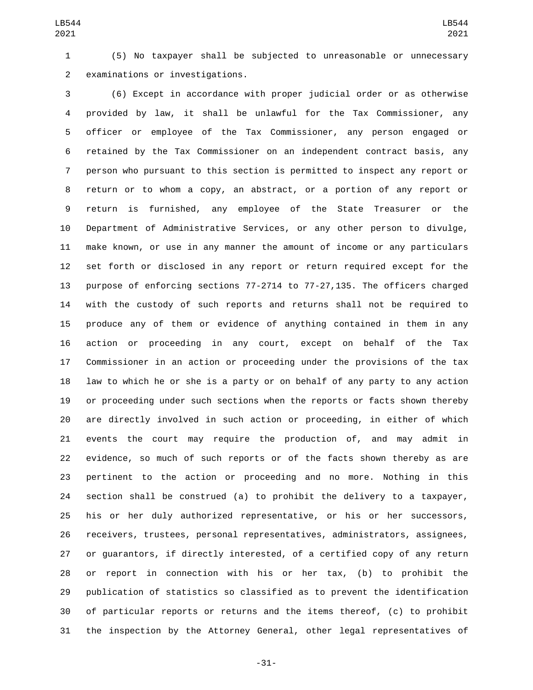(5) No taxpayer shall be subjected to unreasonable or unnecessary 2 examinations or investigations.

 (6) Except in accordance with proper judicial order or as otherwise provided by law, it shall be unlawful for the Tax Commissioner, any officer or employee of the Tax Commissioner, any person engaged or retained by the Tax Commissioner on an independent contract basis, any person who pursuant to this section is permitted to inspect any report or return or to whom a copy, an abstract, or a portion of any report or return is furnished, any employee of the State Treasurer or the Department of Administrative Services, or any other person to divulge, make known, or use in any manner the amount of income or any particulars set forth or disclosed in any report or return required except for the purpose of enforcing sections 77-2714 to 77-27,135. The officers charged with the custody of such reports and returns shall not be required to produce any of them or evidence of anything contained in them in any action or proceeding in any court, except on behalf of the Tax Commissioner in an action or proceeding under the provisions of the tax law to which he or she is a party or on behalf of any party to any action or proceeding under such sections when the reports or facts shown thereby are directly involved in such action or proceeding, in either of which events the court may require the production of, and may admit in evidence, so much of such reports or of the facts shown thereby as are pertinent to the action or proceeding and no more. Nothing in this section shall be construed (a) to prohibit the delivery to a taxpayer, his or her duly authorized representative, or his or her successors, receivers, trustees, personal representatives, administrators, assignees, or guarantors, if directly interested, of a certified copy of any return or report in connection with his or her tax, (b) to prohibit the publication of statistics so classified as to prevent the identification of particular reports or returns and the items thereof, (c) to prohibit the inspection by the Attorney General, other legal representatives of

-31-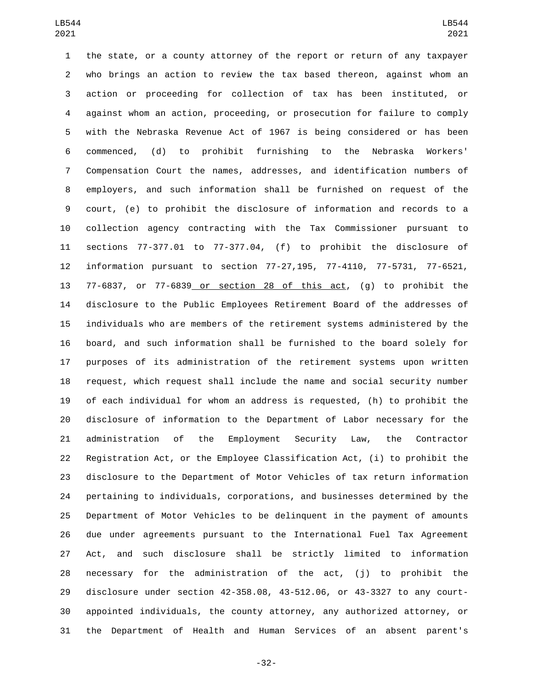the state, or a county attorney of the report or return of any taxpayer who brings an action to review the tax based thereon, against whom an action or proceeding for collection of tax has been instituted, or against whom an action, proceeding, or prosecution for failure to comply with the Nebraska Revenue Act of 1967 is being considered or has been commenced, (d) to prohibit furnishing to the Nebraska Workers' Compensation Court the names, addresses, and identification numbers of employers, and such information shall be furnished on request of the court, (e) to prohibit the disclosure of information and records to a collection agency contracting with the Tax Commissioner pursuant to sections 77-377.01 to 77-377.04, (f) to prohibit the disclosure of information pursuant to section 77-27,195, 77-4110, 77-5731, 77-6521, 77-6837, or 77-6839 or section 28 of this act, (g) to prohibit the disclosure to the Public Employees Retirement Board of the addresses of individuals who are members of the retirement systems administered by the board, and such information shall be furnished to the board solely for purposes of its administration of the retirement systems upon written request, which request shall include the name and social security number of each individual for whom an address is requested, (h) to prohibit the disclosure of information to the Department of Labor necessary for the administration of the Employment Security Law, the Contractor Registration Act, or the Employee Classification Act, (i) to prohibit the disclosure to the Department of Motor Vehicles of tax return information pertaining to individuals, corporations, and businesses determined by the Department of Motor Vehicles to be delinquent in the payment of amounts due under agreements pursuant to the International Fuel Tax Agreement Act, and such disclosure shall be strictly limited to information necessary for the administration of the act, (j) to prohibit the disclosure under section 42-358.08, 43-512.06, or 43-3327 to any court- appointed individuals, the county attorney, any authorized attorney, or the Department of Health and Human Services of an absent parent's

-32-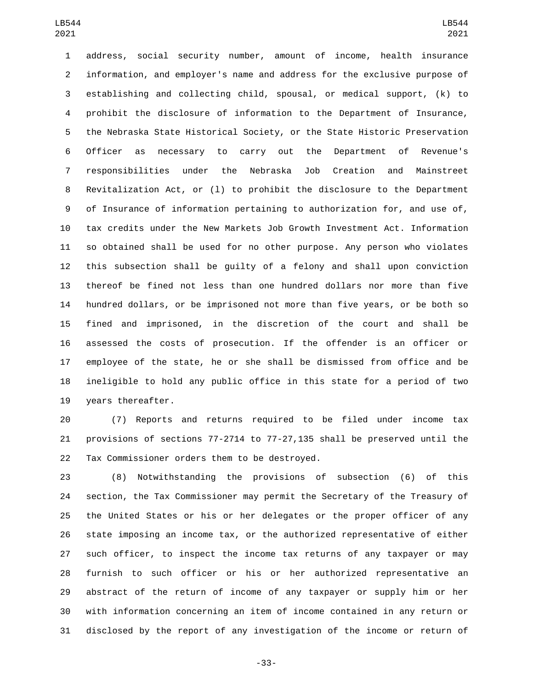address, social security number, amount of income, health insurance information, and employer's name and address for the exclusive purpose of establishing and collecting child, spousal, or medical support, (k) to prohibit the disclosure of information to the Department of Insurance, the Nebraska State Historical Society, or the State Historic Preservation Officer as necessary to carry out the Department of Revenue's responsibilities under the Nebraska Job Creation and Mainstreet Revitalization Act, or (l) to prohibit the disclosure to the Department of Insurance of information pertaining to authorization for, and use of, tax credits under the New Markets Job Growth Investment Act. Information so obtained shall be used for no other purpose. Any person who violates this subsection shall be guilty of a felony and shall upon conviction thereof be fined not less than one hundred dollars nor more than five hundred dollars, or be imprisoned not more than five years, or be both so fined and imprisoned, in the discretion of the court and shall be assessed the costs of prosecution. If the offender is an officer or employee of the state, he or she shall be dismissed from office and be ineligible to hold any public office in this state for a period of two 19 years thereafter.

 (7) Reports and returns required to be filed under income tax provisions of sections 77-2714 to 77-27,135 shall be preserved until the 22 Tax Commissioner orders them to be destroyed.

 (8) Notwithstanding the provisions of subsection (6) of this section, the Tax Commissioner may permit the Secretary of the Treasury of the United States or his or her delegates or the proper officer of any state imposing an income tax, or the authorized representative of either such officer, to inspect the income tax returns of any taxpayer or may furnish to such officer or his or her authorized representative an abstract of the return of income of any taxpayer or supply him or her with information concerning an item of income contained in any return or disclosed by the report of any investigation of the income or return of

-33-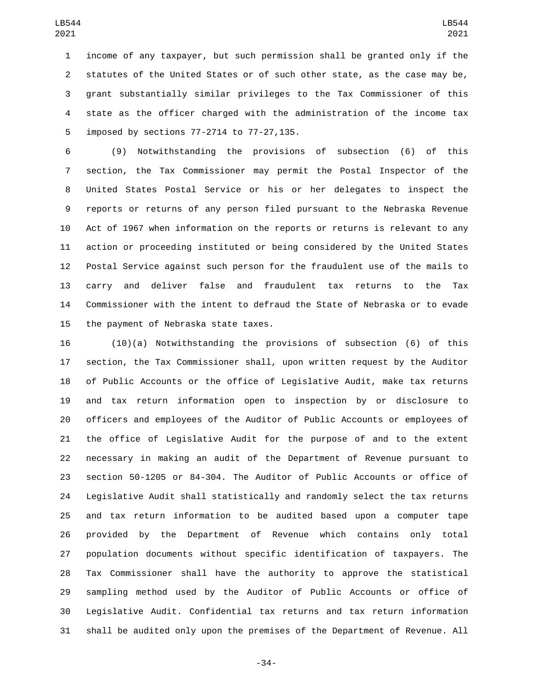income of any taxpayer, but such permission shall be granted only if the statutes of the United States or of such other state, as the case may be, grant substantially similar privileges to the Tax Commissioner of this state as the officer charged with the administration of the income tax 5 imposed by sections 77-2714 to 77-27,135.

 (9) Notwithstanding the provisions of subsection (6) of this section, the Tax Commissioner may permit the Postal Inspector of the United States Postal Service or his or her delegates to inspect the reports or returns of any person filed pursuant to the Nebraska Revenue Act of 1967 when information on the reports or returns is relevant to any action or proceeding instituted or being considered by the United States Postal Service against such person for the fraudulent use of the mails to carry and deliver false and fraudulent tax returns to the Tax Commissioner with the intent to defraud the State of Nebraska or to evade 15 the payment of Nebraska state taxes.

 (10)(a) Notwithstanding the provisions of subsection (6) of this section, the Tax Commissioner shall, upon written request by the Auditor of Public Accounts or the office of Legislative Audit, make tax returns and tax return information open to inspection by or disclosure to officers and employees of the Auditor of Public Accounts or employees of the office of Legislative Audit for the purpose of and to the extent necessary in making an audit of the Department of Revenue pursuant to section 50-1205 or 84-304. The Auditor of Public Accounts or office of Legislative Audit shall statistically and randomly select the tax returns and tax return information to be audited based upon a computer tape provided by the Department of Revenue which contains only total population documents without specific identification of taxpayers. The Tax Commissioner shall have the authority to approve the statistical sampling method used by the Auditor of Public Accounts or office of Legislative Audit. Confidential tax returns and tax return information shall be audited only upon the premises of the Department of Revenue. All

-34-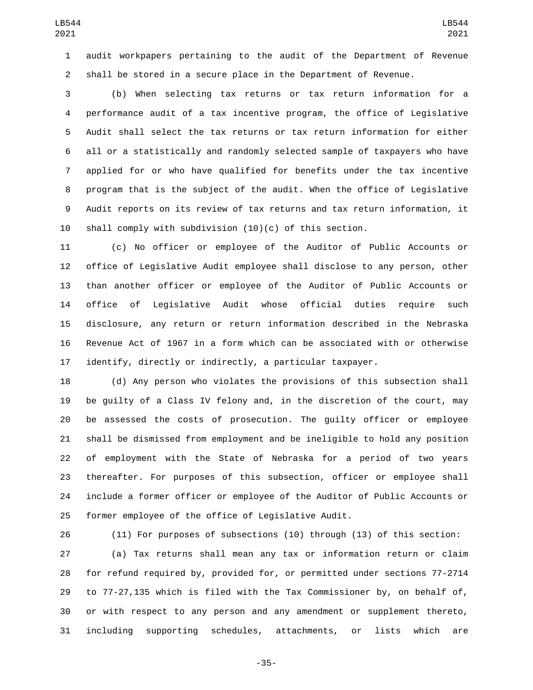audit workpapers pertaining to the audit of the Department of Revenue shall be stored in a secure place in the Department of Revenue.

 (b) When selecting tax returns or tax return information for a performance audit of a tax incentive program, the office of Legislative Audit shall select the tax returns or tax return information for either all or a statistically and randomly selected sample of taxpayers who have applied for or who have qualified for benefits under the tax incentive program that is the subject of the audit. When the office of Legislative Audit reports on its review of tax returns and tax return information, it shall comply with subdivision (10)(c) of this section.

 (c) No officer or employee of the Auditor of Public Accounts or office of Legislative Audit employee shall disclose to any person, other than another officer or employee of the Auditor of Public Accounts or office of Legislative Audit whose official duties require such disclosure, any return or return information described in the Nebraska Revenue Act of 1967 in a form which can be associated with or otherwise identify, directly or indirectly, a particular taxpayer.

 (d) Any person who violates the provisions of this subsection shall be guilty of a Class IV felony and, in the discretion of the court, may be assessed the costs of prosecution. The guilty officer or employee shall be dismissed from employment and be ineligible to hold any position of employment with the State of Nebraska for a period of two years thereafter. For purposes of this subsection, officer or employee shall include a former officer or employee of the Auditor of Public Accounts or former employee of the office of Legislative Audit.

 (11) For purposes of subsections (10) through (13) of this section: (a) Tax returns shall mean any tax or information return or claim for refund required by, provided for, or permitted under sections 77-2714 to 77-27,135 which is filed with the Tax Commissioner by, on behalf of, or with respect to any person and any amendment or supplement thereto, including supporting schedules, attachments, or lists which are

-35-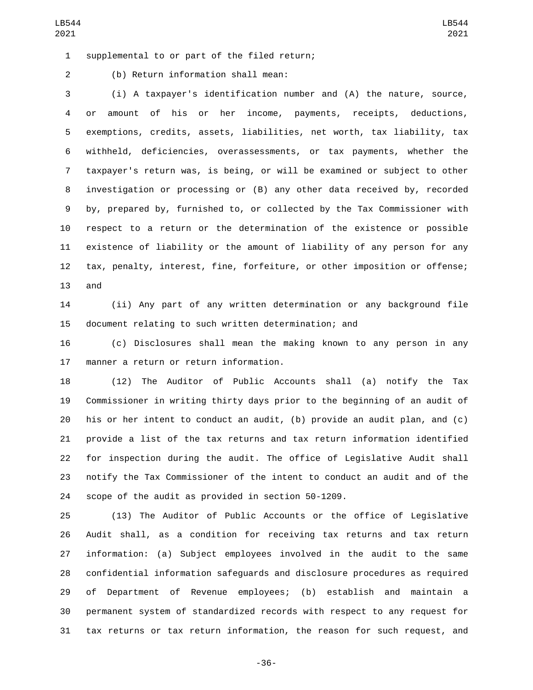1 supplemental to or part of the filed return;

(b) Return information shall mean:2

 (i) A taxpayer's identification number and (A) the nature, source, or amount of his or her income, payments, receipts, deductions, exemptions, credits, assets, liabilities, net worth, tax liability, tax withheld, deficiencies, overassessments, or tax payments, whether the taxpayer's return was, is being, or will be examined or subject to other investigation or processing or (B) any other data received by, recorded by, prepared by, furnished to, or collected by the Tax Commissioner with respect to a return or the determination of the existence or possible existence of liability or the amount of liability of any person for any tax, penalty, interest, fine, forfeiture, or other imposition or offense; and

 (ii) Any part of any written determination or any background file document relating to such written determination; and

 (c) Disclosures shall mean the making known to any person in any 17 manner a return or return information.

 (12) The Auditor of Public Accounts shall (a) notify the Tax Commissioner in writing thirty days prior to the beginning of an audit of his or her intent to conduct an audit, (b) provide an audit plan, and (c) provide a list of the tax returns and tax return information identified for inspection during the audit. The office of Legislative Audit shall notify the Tax Commissioner of the intent to conduct an audit and of the scope of the audit as provided in section 50-1209.

 (13) The Auditor of Public Accounts or the office of Legislative Audit shall, as a condition for receiving tax returns and tax return information: (a) Subject employees involved in the audit to the same confidential information safeguards and disclosure procedures as required of Department of Revenue employees; (b) establish and maintain a permanent system of standardized records with respect to any request for tax returns or tax return information, the reason for such request, and

-36-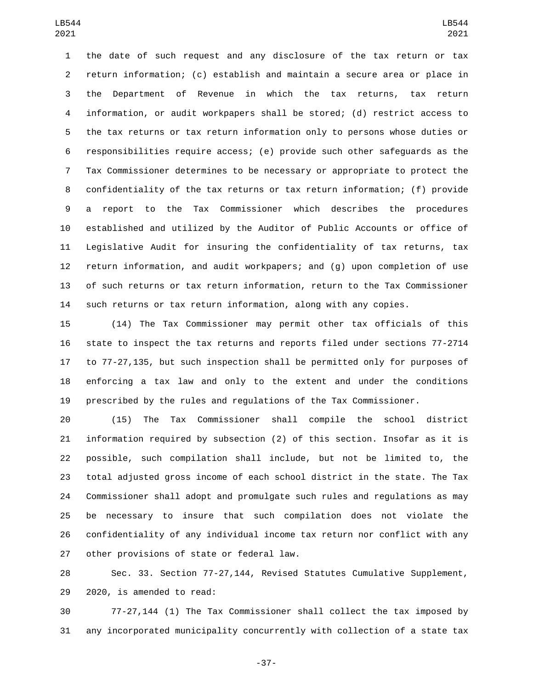the date of such request and any disclosure of the tax return or tax return information; (c) establish and maintain a secure area or place in the Department of Revenue in which the tax returns, tax return information, or audit workpapers shall be stored; (d) restrict access to the tax returns or tax return information only to persons whose duties or responsibilities require access; (e) provide such other safeguards as the Tax Commissioner determines to be necessary or appropriate to protect the confidentiality of the tax returns or tax return information; (f) provide a report to the Tax Commissioner which describes the procedures established and utilized by the Auditor of Public Accounts or office of Legislative Audit for insuring the confidentiality of tax returns, tax return information, and audit workpapers; and (g) upon completion of use of such returns or tax return information, return to the Tax Commissioner such returns or tax return information, along with any copies.

 (14) The Tax Commissioner may permit other tax officials of this state to inspect the tax returns and reports filed under sections 77-2714 to 77-27,135, but such inspection shall be permitted only for purposes of enforcing a tax law and only to the extent and under the conditions prescribed by the rules and regulations of the Tax Commissioner.

 (15) The Tax Commissioner shall compile the school district information required by subsection (2) of this section. Insofar as it is possible, such compilation shall include, but not be limited to, the total adjusted gross income of each school district in the state. The Tax Commissioner shall adopt and promulgate such rules and regulations as may be necessary to insure that such compilation does not violate the confidentiality of any individual income tax return nor conflict with any 27 other provisions of state or federal law.

 Sec. 33. Section 77-27,144, Revised Statutes Cumulative Supplement, 29 2020, is amended to read:

 77-27,144 (1) The Tax Commissioner shall collect the tax imposed by any incorporated municipality concurrently with collection of a state tax

-37-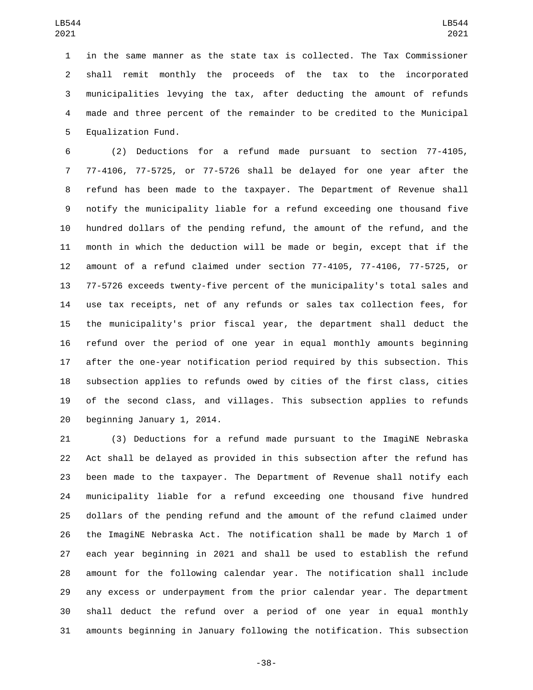in the same manner as the state tax is collected. The Tax Commissioner shall remit monthly the proceeds of the tax to the incorporated municipalities levying the tax, after deducting the amount of refunds made and three percent of the remainder to be credited to the Municipal 5 Equalization Fund.

 (2) Deductions for a refund made pursuant to section 77-4105, 77-4106, 77-5725, or 77-5726 shall be delayed for one year after the refund has been made to the taxpayer. The Department of Revenue shall notify the municipality liable for a refund exceeding one thousand five hundred dollars of the pending refund, the amount of the refund, and the month in which the deduction will be made or begin, except that if the amount of a refund claimed under section 77-4105, 77-4106, 77-5725, or 77-5726 exceeds twenty-five percent of the municipality's total sales and use tax receipts, net of any refunds or sales tax collection fees, for the municipality's prior fiscal year, the department shall deduct the refund over the period of one year in equal monthly amounts beginning after the one-year notification period required by this subsection. This subsection applies to refunds owed by cities of the first class, cities of the second class, and villages. This subsection applies to refunds beginning January 1, 2014.

21 (3) Deductions for a refund made pursuant to the ImagiNE Nebraska Act shall be delayed as provided in this subsection after the refund has been made to the taxpayer. The Department of Revenue shall notify each municipality liable for a refund exceeding one thousand five hundred dollars of the pending refund and the amount of the refund claimed under the ImagiNE Nebraska Act. The notification shall be made by March 1 of each year beginning in 2021 and shall be used to establish the refund amount for the following calendar year. The notification shall include any excess or underpayment from the prior calendar year. The department shall deduct the refund over a period of one year in equal monthly amounts beginning in January following the notification. This subsection

-38-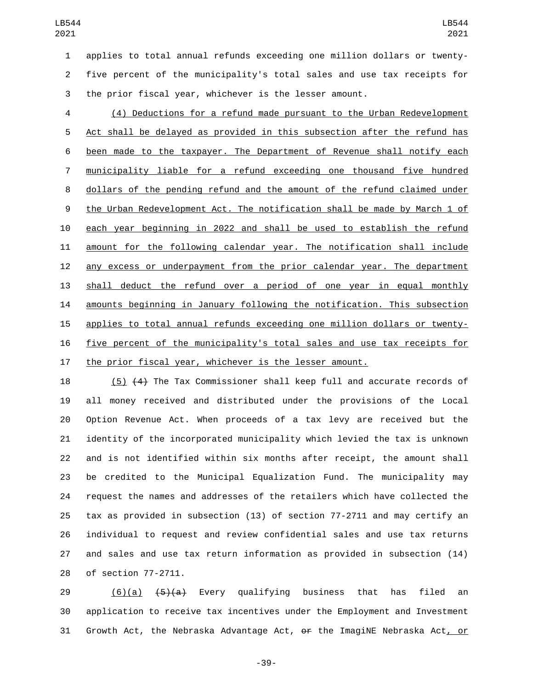applies to total annual refunds exceeding one million dollars or twenty- five percent of the municipality's total sales and use tax receipts for the prior fiscal year, whichever is the lesser amount.

 (4) Deductions for a refund made pursuant to the Urban Redevelopment Act shall be delayed as provided in this subsection after the refund has been made to the taxpayer. The Department of Revenue shall notify each municipality liable for a refund exceeding one thousand five hundred dollars of the pending refund and the amount of the refund claimed under the Urban Redevelopment Act. The notification shall be made by March 1 of each year beginning in 2022 and shall be used to establish the refund amount for the following calendar year. The notification shall include any excess or underpayment from the prior calendar year. The department shall deduct the refund over a period of one year in equal monthly amounts beginning in January following the notification. This subsection applies to total annual refunds exceeding one million dollars or twenty- five percent of the municipality's total sales and use tax receipts for the prior fiscal year, whichever is the lesser amount.

 (5) (4) The Tax Commissioner shall keep full and accurate records of all money received and distributed under the provisions of the Local Option Revenue Act. When proceeds of a tax levy are received but the identity of the incorporated municipality which levied the tax is unknown and is not identified within six months after receipt, the amount shall be credited to the Municipal Equalization Fund. The municipality may request the names and addresses of the retailers which have collected the tax as provided in subsection (13) of section 77-2711 and may certify an individual to request and review confidential sales and use tax returns and sales and use tax return information as provided in subsection (14) 28 of section 77-2711.

29 (6)(a) <del>(5)(a)</del> Every qualifying business that has filed an application to receive tax incentives under the Employment and Investment 31 Growth Act, the Nebraska Advantage Act, or the ImagiNE Nebraska Act, or

-39-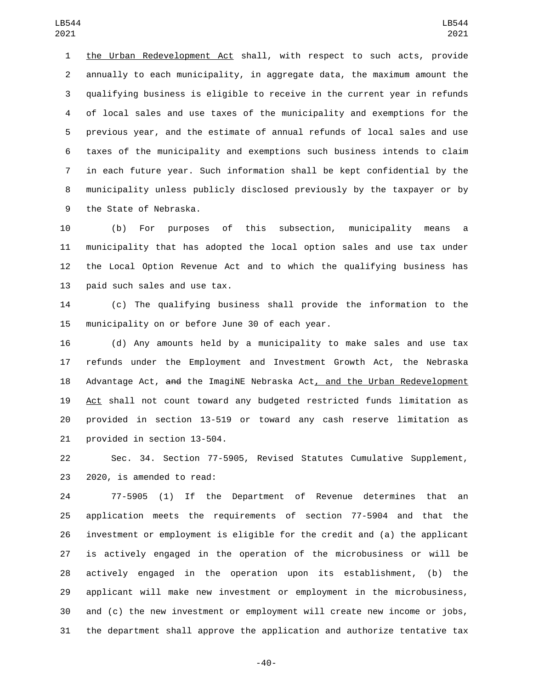the Urban Redevelopment Act shall, with respect to such acts, provide annually to each municipality, in aggregate data, the maximum amount the qualifying business is eligible to receive in the current year in refunds of local sales and use taxes of the municipality and exemptions for the previous year, and the estimate of annual refunds of local sales and use taxes of the municipality and exemptions such business intends to claim in each future year. Such information shall be kept confidential by the municipality unless publicly disclosed previously by the taxpayer or by 9 the State of Nebraska.

 (b) For purposes of this subsection, municipality means a municipality that has adopted the local option sales and use tax under the Local Option Revenue Act and to which the qualifying business has 13 paid such sales and use tax.

 (c) The qualifying business shall provide the information to the 15 municipality on or before June 30 of each year.

 (d) Any amounts held by a municipality to make sales and use tax refunds under the Employment and Investment Growth Act, the Nebraska Advantage Act, and the ImagiNE Nebraska Act, and the Urban Redevelopment Act shall not count toward any budgeted restricted funds limitation as provided in section 13-519 or toward any cash reserve limitation as 21 provided in section 13-504.

 Sec. 34. Section 77-5905, Revised Statutes Cumulative Supplement, 23 2020, is amended to read:

 77-5905 (1) If the Department of Revenue determines that an application meets the requirements of section 77-5904 and that the investment or employment is eligible for the credit and (a) the applicant is actively engaged in the operation of the microbusiness or will be actively engaged in the operation upon its establishment, (b) the applicant will make new investment or employment in the microbusiness, and (c) the new investment or employment will create new income or jobs, the department shall approve the application and authorize tentative tax

-40-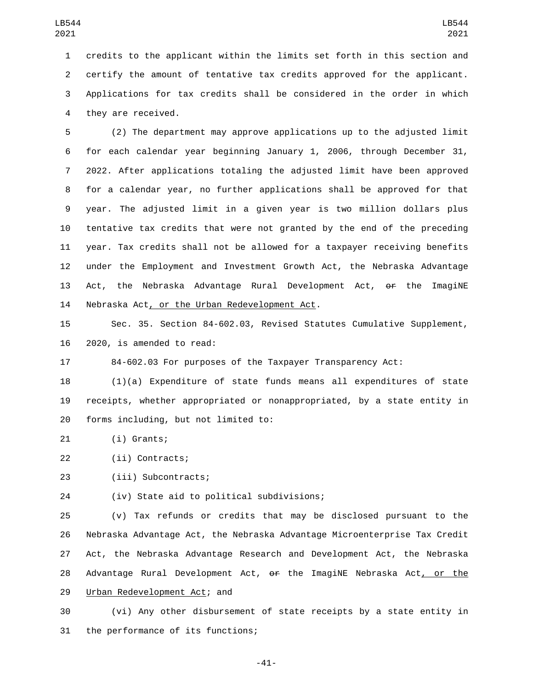credits to the applicant within the limits set forth in this section and certify the amount of tentative tax credits approved for the applicant. Applications for tax credits shall be considered in the order in which 4 they are received.

 (2) The department may approve applications up to the adjusted limit for each calendar year beginning January 1, 2006, through December 31, 2022. After applications totaling the adjusted limit have been approved for a calendar year, no further applications shall be approved for that year. The adjusted limit in a given year is two million dollars plus tentative tax credits that were not granted by the end of the preceding year. Tax credits shall not be allowed for a taxpayer receiving benefits under the Employment and Investment Growth Act, the Nebraska Advantage 13 Act, the Nebraska Advantage Rural Development Act, <del>or</del> the ImagiNE 14 Nebraska Act, or the Urban Redevelopment Act.

15 Sec. 35. Section 84-602.03, Revised Statutes Cumulative Supplement, 16 2020, is amended to read:

17 84-602.03 For purposes of the Taxpayer Transparency Act:

18 (1)(a) Expenditure of state funds means all expenditures of state 19 receipts, whether appropriated or nonappropriated, by a state entity in 20 forms including, but not limited to:

21 (i) Grants;

22 (ii) Contracts;

23 (iii) Subcontracts;

(iv) State aid to political subdivisions;24

25 (v) Tax refunds or credits that may be disclosed pursuant to the 26 Nebraska Advantage Act, the Nebraska Advantage Microenterprise Tax Credit 27 Act, the Nebraska Advantage Research and Development Act, the Nebraska 28 Advantage Rural Development Act, or the ImagiNE Nebraska Act, or the 29 Urban Redevelopment Act; and

30 (vi) Any other disbursement of state receipts by a state entity in 31 the performance of its functions;

-41-